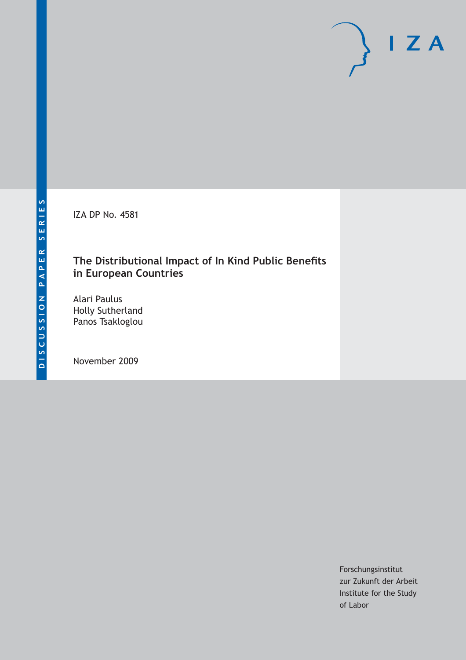IZA DP No. 4581

## **The Distributional Impact of In Kind Public Benefits in European Countries**

Alari Paulus Holly Sutherland Panos Tsakloglou

November 2009

Forschungsinstitut zur Zukunft der Arbeit Institute for the Study of Labor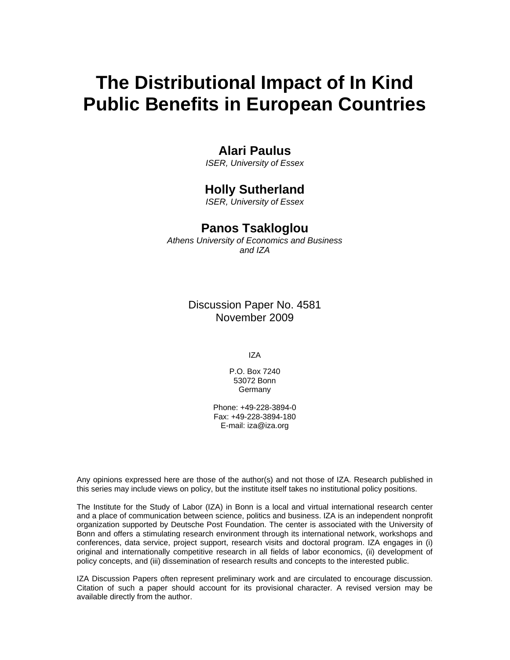# **The Distributional Impact of In Kind Public Benefits in European Countries**

### **Alari Paulus**

*ISER, University of Essex* 

### **Holly Sutherland**

*ISER, University of Essex* 

### **Panos Tsakloglou**

*Athens University of Economics and Business and IZA* 

> Discussion Paper No. 4581 November 2009

> > IZA

P.O. Box 7240 53072 Bonn Germany

Phone: +49-228-3894-0 Fax: +49-228-3894-180 E-mail: iza@iza.org

Any opinions expressed here are those of the author(s) and not those of IZA. Research published in this series may include views on policy, but the institute itself takes no institutional policy positions.

The Institute for the Study of Labor (IZA) in Bonn is a local and virtual international research center and a place of communication between science, politics and business. IZA is an independent nonprofit organization supported by Deutsche Post Foundation. The center is associated with the University of Bonn and offers a stimulating research environment through its international network, workshops and conferences, data service, project support, research visits and doctoral program. IZA engages in (i) original and internationally competitive research in all fields of labor economics, (ii) development of policy concepts, and (iii) dissemination of research results and concepts to the interested public.

IZA Discussion Papers often represent preliminary work and are circulated to encourage discussion. Citation of such a paper should account for its provisional character. A revised version may be available directly from the author.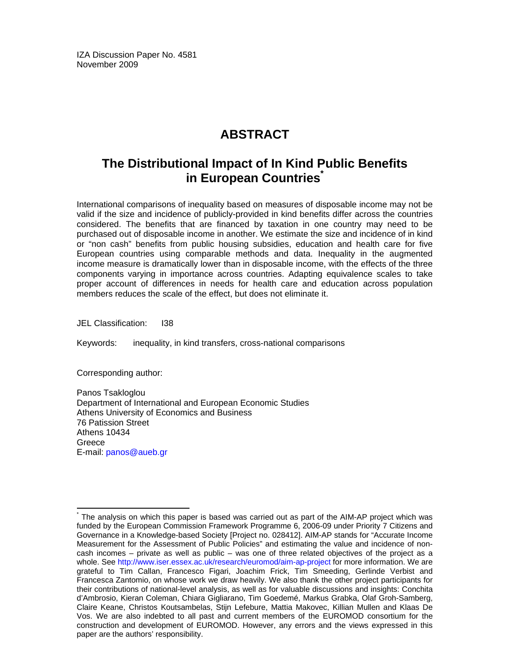IZA Discussion Paper No. 4581 November 2009

# **ABSTRACT**

# **The Distributional Impact of In Kind Public Benefits in European Countries**

International comparisons of inequality based on measures of disposable income may not be valid if the size and incidence of publicly-provided in kind benefits differ across the countries considered. The benefits that are financed by taxation in one country may need to be purchased out of disposable income in another. We estimate the size and incidence of in kind or "non cash" benefits from public housing subsidies, education and health care for five European countries using comparable methods and data. Inequality in the augmented income measure is dramatically lower than in disposable income, with the effects of the three components varying in importance across countries. Adapting equivalence scales to take proper account of differences in needs for health care and education across population members reduces the scale of the effect, but does not eliminate it.

JEL Classification: I38

Keywords: inequality, in kind transfers, cross-national comparisons

Corresponding author:

Panos Tsakloglou Department of International and European Economic Studies Athens University of Economics and Business 76 Patission Street Athens 10434 Greece E-mail: panos@aueb.gr

<sup>-</sup>\* The analysis on which this paper is based was carried out as part of the AIM-AP project which was funded by the European Commission Framework Programme 6, 2006-09 under Priority 7 Citizens and Governance in a Knowledge-based Society [Project no. 028412]. AIM-AP stands for "Accurate Income Measurement for the Assessment of Public Policies" and estimating the value and incidence of noncash incomes – private as well as public – was one of three related objectives of the project as a whole. See http://www.iser.essex.ac.uk/research/euromod/aim-ap-project for more information. We are grateful to Tim Callan, Francesco Figari, Joachim Frick, Tim Smeeding, Gerlinde Verbist and Francesca Zantomio, on whose work we draw heavily. We also thank the other project participants for their contributions of national-level analysis, as well as for valuable discussions and insights: Conchita d'Ambrosio, Kieran Coleman, Chiara Gigliarano, Tim Goedemé, Markus Grabka, Olaf Groh-Samberg, Claire Keane, Christos Koutsambelas, Stijn Lefebure, Mattia Makovec, Killian Mullen and Klaas De Vos. We are also indebted to all past and current members of the EUROMOD consortium for the construction and development of EUROMOD. However, any errors and the views expressed in this paper are the authors' responsibility.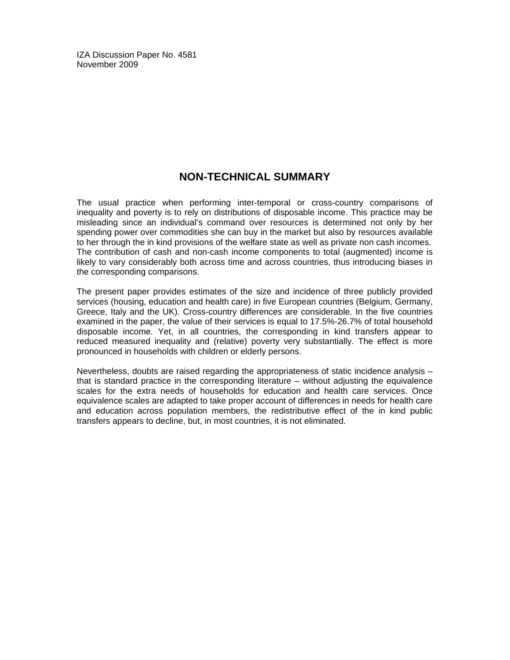IZA Discussion Paper No. 4581 November 2009

### **NON-TECHNICAL SUMMARY**

The usual practice when performing inter-temporal or cross-country comparisons of inequality and poverty is to rely on distributions of disposable income. This practice may be misleading since an individual's command over resources is determined not only by her spending power over commodities she can buy in the market but also by resources available to her through the in kind provisions of the welfare state as well as private non cash incomes. The contribution of cash and non-cash income components to total (augmented) income is likely to vary considerably both across time and across countries, thus introducing biases in the corresponding comparisons.

The present paper provides estimates of the size and incidence of three publicly provided services (housing, education and health care) in five European countries (Belgium, Germany, Greece, Italy and the UK). Cross-country differences are considerable. In the five countries examined in the paper, the value of their services is equal to 17.5%-26.7% of total household disposable income. Yet, in all countries, the corresponding in kind transfers appear to reduced measured inequality and (relative) poverty very substantially. The effect is more pronounced in households with children or elderly persons.

Nevertheless, doubts are raised regarding the appropriateness of static incidence analysis – that is standard practice in the corresponding literature – without adjusting the equivalence scales for the extra needs of households for education and health care services. Once equivalence scales are adapted to take proper account of differences in needs for health care and education across population members, the redistributive effect of the in kind public transfers appears to decline, but, in most countries, it is not eliminated.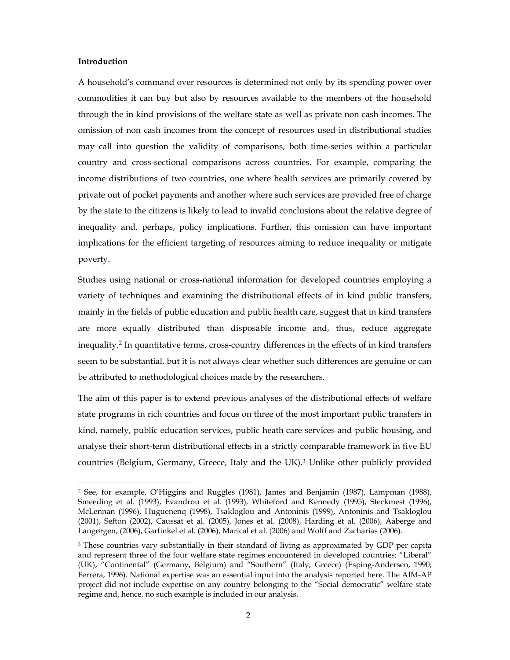#### **Introduction**

-

A household's command over resources is determined not only by its spending power over commodities it can buy but also by resources available to the members of the household through the in kind provisions of the welfare state as well as private non cash incomes. The omission of non cash incomes from the concept of resources used in distributional studies may call into question the validity of comparisons, both time-series within a particular country and cross-sectional comparisons across countries. For example, comparing the income distributions of two countries, one where health services are primarily covered by private out of pocket payments and another where such services are provided free of charge by the state to the citizens is likely to lead to invalid conclusions about the relative degree of inequality and, perhaps, policy implications. Further, this omission can have important implications for the efficient targeting of resources aiming to reduce inequality or mitigate poverty.

Studies using national or cross-national information for developed countries employing a variety of techniques and examining the distributional effects of in kind public transfers, mainly in the fields of public education and public health care, suggest that in kind transfers are more equally distributed than disposable income and, thus, reduce aggregate inequality.2 In quantitative terms, cross-country differences in the effects of in kind transfers seem to be substantial, but it is not always clear whether such differences are genuine or can be attributed to methodological choices made by the researchers.

The aim of this paper is to extend previous analyses of the distributional effects of welfare state programs in rich countries and focus on three of the most important public transfers in kind, namely, public education services, public heath care services and public housing, and analyse their short-term distributional effects in a strictly comparable framework in five EU countries (Belgium, Germany, Greece, Italy and the UK).3 Unlike other publicly provided

<sup>2</sup> See, for example, O'Higgins and Ruggles (1981), James and Benjamin (1987), Lampman (1988), Smeeding et al. (1993), Evandrou et al. (1993), Whiteford and Kennedy (1995), Steckmest (1996), McLennan (1996), Huguenenq (1998), Tsakloglou and Antoninis (1999), Antoninis and Tsakloglou (2001), Sefton (2002), Caussat et al. (2005), Jones et al. (2008), Harding et al. (2006), Aaberge and Langørgen, (2006), Garfinkel et al. (2006), Marical et al. (2006) and Wolff and Zacharias (2006).

<sup>&</sup>lt;sup>3</sup> These countries vary substantially in their standard of living as approximated by GDP per capita and represent three of the four welfare state regimes encountered in developed countries: "Liberal" (UK), "Continental" (Germany, Belgium) and "Southern" (Italy, Greece) (Esping-Andersen, 1990; Ferrera, 1996). National expertise was an essential input into the analysis reported here. The AIM-AP project did not include expertise on any country belonging to the "Social democratic" welfare state regime and, hence, no such example is included in our analysis.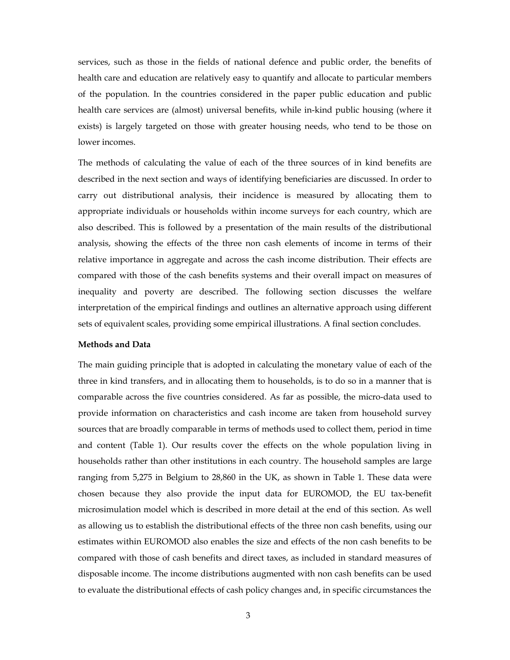services, such as those in the fields of national defence and public order, the benefits of health care and education are relatively easy to quantify and allocate to particular members of the population. In the countries considered in the paper public education and public health care services are (almost) universal benefits, while in-kind public housing (where it exists) is largely targeted on those with greater housing needs, who tend to be those on lower incomes.

The methods of calculating the value of each of the three sources of in kind benefits are described in the next section and ways of identifying beneficiaries are discussed. In order to carry out distributional analysis, their incidence is measured by allocating them to appropriate individuals or households within income surveys for each country, which are also described. This is followed by a presentation of the main results of the distributional analysis, showing the effects of the three non cash elements of income in terms of their relative importance in aggregate and across the cash income distribution. Their effects are compared with those of the cash benefits systems and their overall impact on measures of inequality and poverty are described. The following section discusses the welfare interpretation of the empirical findings and outlines an alternative approach using different sets of equivalent scales, providing some empirical illustrations. A final section concludes.

#### **Methods and Data**

The main guiding principle that is adopted in calculating the monetary value of each of the three in kind transfers, and in allocating them to households, is to do so in a manner that is comparable across the five countries considered. As far as possible, the micro-data used to provide information on characteristics and cash income are taken from household survey sources that are broadly comparable in terms of methods used to collect them, period in time and content (Table 1). Our results cover the effects on the whole population living in households rather than other institutions in each country. The household samples are large ranging from 5,275 in Belgium to 28,860 in the UK, as shown in Table 1. These data were chosen because they also provide the input data for EUROMOD, the EU tax-benefit microsimulation model which is described in more detail at the end of this section. As well as allowing us to establish the distributional effects of the three non cash benefits, using our estimates within EUROMOD also enables the size and effects of the non cash benefits to be compared with those of cash benefits and direct taxes, as included in standard measures of disposable income. The income distributions augmented with non cash benefits can be used to evaluate the distributional effects of cash policy changes and, in specific circumstances the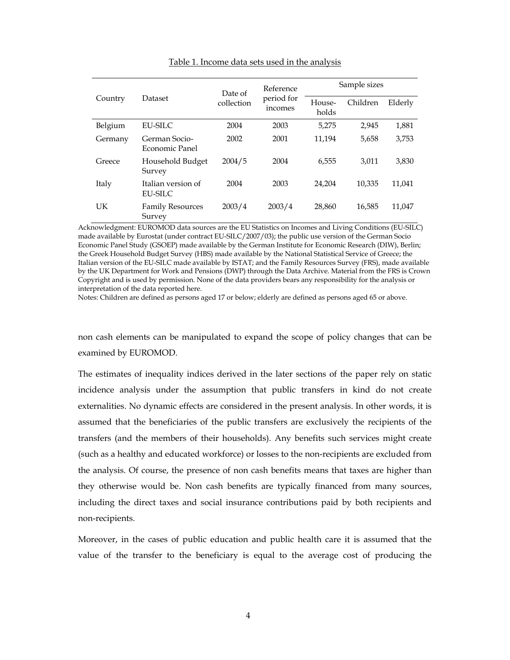|         |                                   | Date of | Reference             | Sample sizes    |          |         |  |
|---------|-----------------------------------|---------|-----------------------|-----------------|----------|---------|--|
| Country | Dataset<br>collection             |         | period for<br>incomes | House-<br>holds | Children | Elderly |  |
| Belgium | EU-SILC                           | 2004    | 2003                  | 5,275           | 2,945    | 1,881   |  |
| Germany | German Socio-<br>Economic Panel   | 2002    | 2001                  | 11.194          | 5,658    | 3,753   |  |
| Greece  | Household Budget<br>Survey        | 2004/5  | 2004                  | 6,555           | 3.011    | 3,830   |  |
| Italy   | Italian version of<br>EU-SILC     | 2004    | 2003                  | 24,204          | 10.335   | 11,041  |  |
| UK      | <b>Family Resources</b><br>Survey | 2003/4  | 2003/4                | 28,860          | 16.585   | 11,047  |  |

Table 1. Income data sets used in the analysis

Acknowledgment: EUROMOD data sources are the EU Statistics on Incomes and Living Conditions (EU-SILC) made available by Eurostat (under contract EU-SILC/2007/03); the public use version of the German Socio Economic Panel Study (GSOEP) made available by the German Institute for Economic Research (DIW), Berlin; the Greek Household Budget Survey (HBS) made available by the National Statistical Service of Greece; the Italian version of the EU-SILC made available by ISTAT; and the Family Resources Survey (FRS), made available by the UK Department for Work and Pensions (DWP) through the Data Archive. Material from the FRS is Crown Copyright and is used by permission. None of the data providers bears any responsibility for the analysis or interpretation of the data reported here.

Notes: Children are defined as persons aged 17 or below; elderly are defined as persons aged 65 or above.

non cash elements can be manipulated to expand the scope of policy changes that can be examined by EUROMOD.

The estimates of inequality indices derived in the later sections of the paper rely on static incidence analysis under the assumption that public transfers in kind do not create externalities. No dynamic effects are considered in the present analysis. In other words, it is assumed that the beneficiaries of the public transfers are exclusively the recipients of the transfers (and the members of their households). Any benefits such services might create (such as a healthy and educated workforce) or losses to the non-recipients are excluded from the analysis. Of course, the presence of non cash benefits means that taxes are higher than they otherwise would be. Non cash benefits are typically financed from many sources, including the direct taxes and social insurance contributions paid by both recipients and non-recipients.

Moreover, in the cases of public education and public health care it is assumed that the value of the transfer to the beneficiary is equal to the average cost of producing the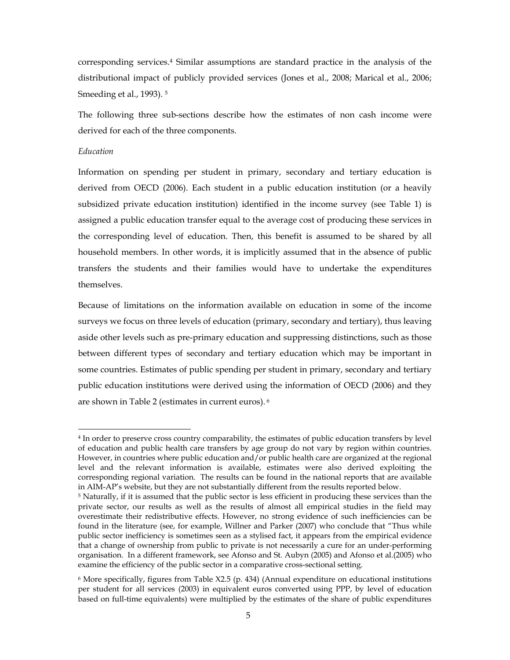corresponding services.4 Similar assumptions are standard practice in the analysis of the distributional impact of publicly provided services (Jones et al., 2008; Marical et al., 2006; Smeeding et al., 1993). 5

The following three sub-sections describe how the estimates of non cash income were derived for each of the three components.

#### *Education*

-

Information on spending per student in primary, secondary and tertiary education is derived from OECD (2006). Each student in a public education institution (or a heavily subsidized private education institution) identified in the income survey (see Table 1) is assigned a public education transfer equal to the average cost of producing these services in the corresponding level of education. Then, this benefit is assumed to be shared by all household members. In other words, it is implicitly assumed that in the absence of public transfers the students and their families would have to undertake the expenditures themselves.

Because of limitations on the information available on education in some of the income surveys we focus on three levels of education (primary, secondary and tertiary), thus leaving aside other levels such as pre-primary education and suppressing distinctions, such as those between different types of secondary and tertiary education which may be important in some countries. Estimates of public spending per student in primary, secondary and tertiary public education institutions were derived using the information of OECD (2006) and they are shown in Table 2 (estimates in current euros). 6

<sup>4</sup> In order to preserve cross country comparability, the estimates of public education transfers by level of education and public health care transfers by age group do not vary by region within countries. However, in countries where public education and/or public health care are organized at the regional level and the relevant information is available, estimates were also derived exploiting the corresponding regional variation. The results can be found in the national reports that are available in AIM-AP's website, but they are not substantially different from the results reported below.<br><sup>5</sup> Naturally, if it is assumed that the public sector is less efficient in producing these services than the

private sector, our results as well as the results of almost all empirical studies in the field may overestimate their redistributive effects. However, no strong evidence of such inefficiencies can be found in the literature (see, for example, Willner and Parker (2007) who conclude that "Thus while public sector inefficiency is sometimes seen as a stylised fact, it appears from the empirical evidence that a change of ownership from public to private is not necessarily a cure for an under-performing organisation. In a different framework, see Afonso and St. Aubyn (2005) and Afonso et al.(2005) who examine the efficiency of the public sector in a comparative cross-sectional setting.

 $6$  More specifically, figures from Table X2.5 (p. 434) (Annual expenditure on educational institutions per student for all services (2003) in equivalent euros converted using PPP, by level of education based on full-time equivalents) were multiplied by the estimates of the share of public expenditures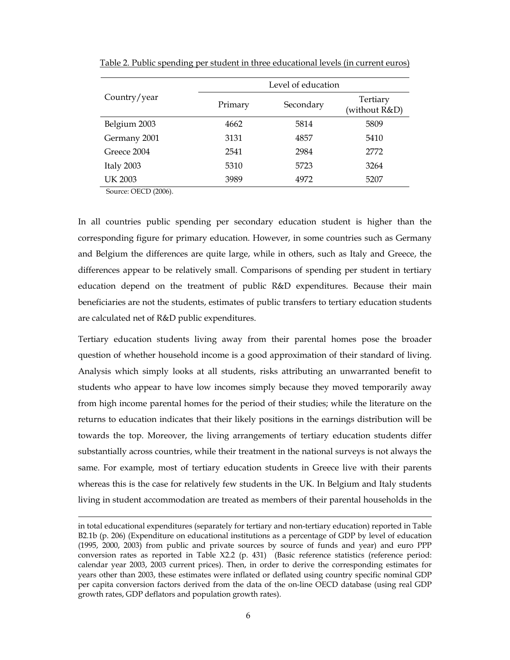|                | Level of education |           |                           |  |  |  |  |
|----------------|--------------------|-----------|---------------------------|--|--|--|--|
| Country/year   | Primary            | Secondary | Tertiary<br>(without R&D) |  |  |  |  |
| Belgium 2003   | 4662               | 5814      | 5809                      |  |  |  |  |
| Germany 2001   | 3131               | 4857      | 5410                      |  |  |  |  |
| Greece 2004    | 2541               | 2984      | 2772                      |  |  |  |  |
| Italy 2003     | 5310               | 5723      | 3264                      |  |  |  |  |
| <b>UK 2003</b> | 3989               | 4972      | 5207                      |  |  |  |  |

Table 2. Public spending per student in three educational levels (in current euros)

Source: OECD (2006).

-

In all countries public spending per secondary education student is higher than the corresponding figure for primary education. However, in some countries such as Germany and Belgium the differences are quite large, while in others, such as Italy and Greece, the differences appear to be relatively small. Comparisons of spending per student in tertiary education depend on the treatment of public R&D expenditures. Because their main beneficiaries are not the students, estimates of public transfers to tertiary education students are calculated net of R&D public expenditures.

Tertiary education students living away from their parental homes pose the broader question of whether household income is a good approximation of their standard of living. Analysis which simply looks at all students, risks attributing an unwarranted benefit to students who appear to have low incomes simply because they moved temporarily away from high income parental homes for the period of their studies; while the literature on the returns to education indicates that their likely positions in the earnings distribution will be towards the top. Moreover, the living arrangements of tertiary education students differ substantially across countries, while their treatment in the national surveys is not always the same. For example, most of tertiary education students in Greece live with their parents whereas this is the case for relatively few students in the UK. In Belgium and Italy students living in student accommodation are treated as members of their parental households in the

in total educational expenditures (separately for tertiary and non-tertiary education) reported in Table B2.1b (p. 206) (Expenditure on educational institutions as a percentage of GDP by level of education (1995, 2000, 2003) from public and private sources by source of funds and year) and euro PPP conversion rates as reported in Table X2.2 (p. 431) (Basic reference statistics (reference period: calendar year 2003, 2003 current prices). Then, in order to derive the corresponding estimates for years other than 2003, these estimates were inflated or deflated using country specific nominal GDP per capita conversion factors derived from the data of the on-line OECD database (using real GDP growth rates, GDP deflators and population growth rates).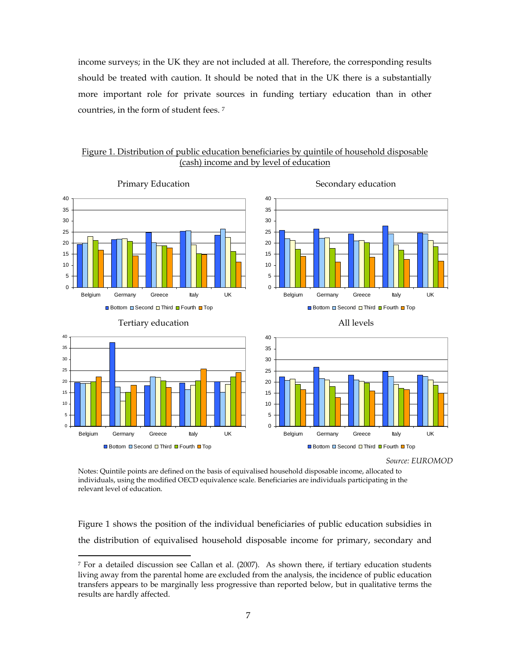income surveys; in the UK they are not included at all. Therefore, the corresponding results should be treated with caution. It should be noted that in the UK there is a substantially more important role for private sources in funding tertiary education than in other countries, in the form of student fees. 7

Figure 1. Distribution of public education beneficiaries by quintile of household disposable (cash) income and by level of education



*Source: EUROMOD* 

Notes: Quintile points are defined on the basis of equivalised household disposable income, allocated to individuals, using the modified OECD equivalence scale. Beneficiaries are individuals participating in the relevant level of education.

-

Figure 1 shows the position of the individual beneficiaries of public education subsidies in the distribution of equivalised household disposable income for primary, secondary and

<sup>7</sup> For a detailed discussion see Callan et al. (2007). As shown there, if tertiary education students living away from the parental home are excluded from the analysis, the incidence of public education transfers appears to be marginally less progressive than reported below, but in qualitative terms the results are hardly affected.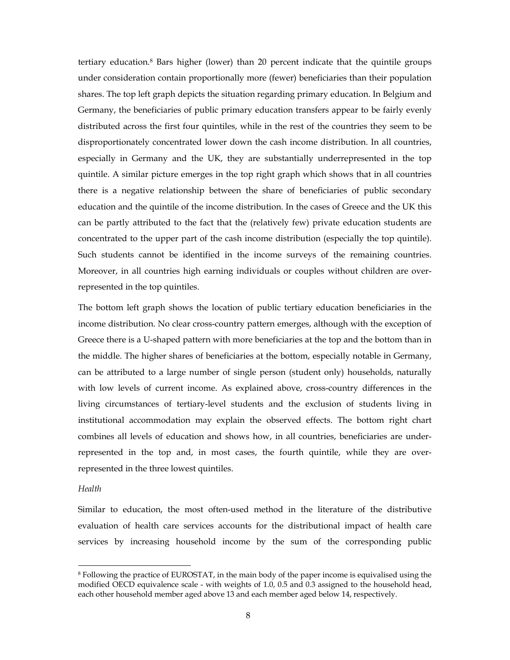tertiary education.8 Bars higher (lower) than 20 percent indicate that the quintile groups under consideration contain proportionally more (fewer) beneficiaries than their population shares. The top left graph depicts the situation regarding primary education. In Belgium and Germany, the beneficiaries of public primary education transfers appear to be fairly evenly distributed across the first four quintiles, while in the rest of the countries they seem to be disproportionately concentrated lower down the cash income distribution. In all countries, especially in Germany and the UK, they are substantially underrepresented in the top quintile. A similar picture emerges in the top right graph which shows that in all countries there is a negative relationship between the share of beneficiaries of public secondary education and the quintile of the income distribution. In the cases of Greece and the UK this can be partly attributed to the fact that the (relatively few) private education students are concentrated to the upper part of the cash income distribution (especially the top quintile). Such students cannot be identified in the income surveys of the remaining countries. Moreover, in all countries high earning individuals or couples without children are overrepresented in the top quintiles.

The bottom left graph shows the location of public tertiary education beneficiaries in the income distribution. No clear cross-country pattern emerges, although with the exception of Greece there is a U-shaped pattern with more beneficiaries at the top and the bottom than in the middle. The higher shares of beneficiaries at the bottom, especially notable in Germany, can be attributed to a large number of single person (student only) households, naturally with low levels of current income. As explained above, cross-country differences in the living circumstances of tertiary-level students and the exclusion of students living in institutional accommodation may explain the observed effects. The bottom right chart combines all levels of education and shows how, in all countries, beneficiaries are underrepresented in the top and, in most cases, the fourth quintile, while they are overrepresented in the three lowest quintiles.

#### *Health*

-

Similar to education, the most often-used method in the literature of the distributive evaluation of health care services accounts for the distributional impact of health care services by increasing household income by the sum of the corresponding public

<sup>8</sup> Following the practice of EUROSTAT, in the main body of the paper income is equivalised using the modified OECD equivalence scale - with weights of 1.0, 0.5 and 0.3 assigned to the household head, each other household member aged above 13 and each member aged below 14, respectively.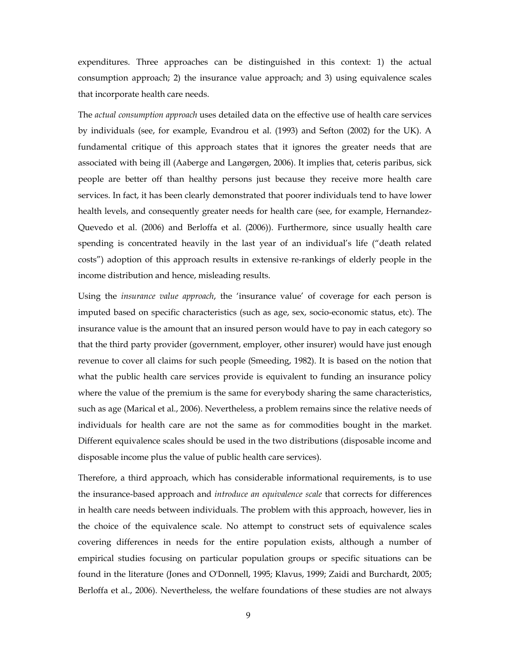expenditures. Three approaches can be distinguished in this context: 1) the actual consumption approach; 2) the insurance value approach; and 3) using equivalence scales that incorporate health care needs.

The *actual consumption approach* uses detailed data on the effective use of health care services by individuals (see, for example, Evandrou et al. (1993) and Sefton (2002) for the UK). A fundamental critique of this approach states that it ignores the greater needs that are associated with being ill (Aaberge and Langørgen, 2006). It implies that, ceteris paribus, sick people are better off than healthy persons just because they receive more health care services. In fact, it has been clearly demonstrated that poorer individuals tend to have lower health levels, and consequently greater needs for health care (see, for example, Hernandez-Quevedo et al. (2006) and Berloffa et al. (2006)). Furthermore, since usually health care spending is concentrated heavily in the last year of an individual's life ("death related costs") adoption of this approach results in extensive re-rankings of elderly people in the income distribution and hence, misleading results.

Using the *insurance value approach*, the 'insurance value' of coverage for each person is imputed based on specific characteristics (such as age, sex, socio-economic status, etc). The insurance value is the amount that an insured person would have to pay in each category so that the third party provider (government, employer, other insurer) would have just enough revenue to cover all claims for such people (Smeeding, 1982). It is based on the notion that what the public health care services provide is equivalent to funding an insurance policy where the value of the premium is the same for everybody sharing the same characteristics, such as age (Marical et al., 2006). Nevertheless, a problem remains since the relative needs of individuals for health care are not the same as for commodities bought in the market. Different equivalence scales should be used in the two distributions (disposable income and disposable income plus the value of public health care services).

Therefore, a third approach, which has considerable informational requirements, is to use the insurance-based approach and *introduce an equivalence scale* that corrects for differences in health care needs between individuals. The problem with this approach, however, lies in the choice of the equivalence scale. No attempt to construct sets of equivalence scales covering differences in needs for the entire population exists, although a number of empirical studies focusing on particular population groups or specific situations can be found in the literature (Jones and O'Donnell, 1995; Klavus, 1999; Zaidi and Burchardt, 2005; Berloffa et al., 2006). Nevertheless, the welfare foundations of these studies are not always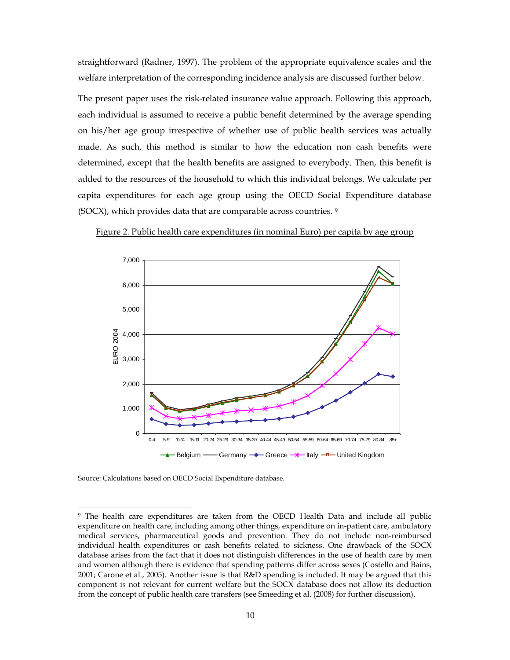straightforward (Radner, 1997). The problem of the appropriate equivalence scales and the welfare interpretation of the corresponding incidence analysis are discussed further below.

The present paper uses the risk-related insurance value approach. Following this approach, each individual is assumed to receive a public benefit determined by the average spending on his/her age group irrespective of whether use of public health services was actually made. As such, this method is similar to how the education non cash benefits were determined, except that the health benefits are assigned to everybody. Then, this benefit is added to the resources of the household to which this individual belongs. We calculate per capita expenditures for each age group using the OECD Social Expenditure database (SOCX), which provides data that are comparable across countries. 9





Source: Calculations based on OECD Social Expenditure database.

-

<sup>9</sup> The health care expenditures are taken from the OECD Health Data and include all public expenditure on health care, including among other things, expenditure on in-patient care, ambulatory medical services, pharmaceutical goods and prevention. They do not include non-reimbursed individual health expenditures or cash benefits related to sickness. One drawback of the SOCX database arises from the fact that it does not distinguish differences in the use of health care by men and women although there is evidence that spending patterns differ across sexes (Costello and Bains, 2001; Carone et al., 2005). Another issue is that R&D spending is included. It may be argued that this component is not relevant for current welfare but the SOCX database does not allow its deduction from the concept of public health care transfers (see Smeeding et al. (2008) for further discussion).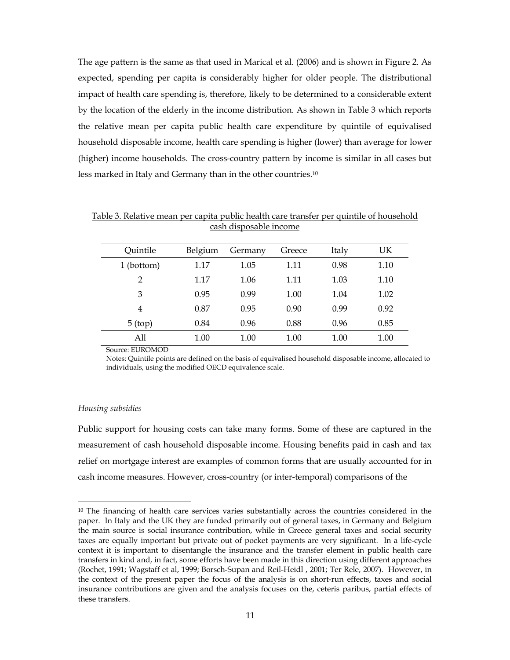The age pattern is the same as that used in Marical et al. (2006) and is shown in Figure 2. As expected, spending per capita is considerably higher for older people. The distributional impact of health care spending is, therefore, likely to be determined to a considerable extent by the location of the elderly in the income distribution. As shown in Table 3 which reports the relative mean per capita public health care expenditure by quintile of equivalised household disposable income, health care spending is higher (lower) than average for lower (higher) income households. The cross-country pattern by income is similar in all cases but less marked in Italy and Germany than in the other countries.10

| Quintile           | Belgium | Germany | Greece | Italy | UК   |
|--------------------|---------|---------|--------|-------|------|
| 1 (bottom)         | 1.17    | 1.05    | 1.11   | 0.98  | 1.10 |
| 2                  | 1.17    | 1.06    | 1.11   | 1.03  | 1.10 |
| 3                  | 0.95    | 0.99    | 1.00   | 1.04  | 1.02 |
| 4                  | 0.87    | 0.95    | 0.90   | 0.99  | 0.92 |
| 5 <sub>(top)</sub> | 0.84    | 0.96    | 0.88   | 0.96  | 0.85 |
| A11                | 1.00    | 1.00    | 1.00   | 1.00  | 1.00 |

Table 3. Relative mean per capita public health care transfer per quintile of household cash disposable income

Source: EUROMOD

Notes: Quintile points are defined on the basis of equivalised household disposable income, allocated to individuals, using the modified OECD equivalence scale.

#### *Housing subsidies*

-

Public support for housing costs can take many forms. Some of these are captured in the measurement of cash household disposable income. Housing benefits paid in cash and tax relief on mortgage interest are examples of common forms that are usually accounted for in cash income measures. However, cross-country (or inter-temporal) comparisons of the

<sup>&</sup>lt;sup>10</sup> The financing of health care services varies substantially across the countries considered in the paper. In Italy and the UK they are funded primarily out of general taxes, in Germany and Belgium the main source is social insurance contribution, while in Greece general taxes and social security taxes are equally important but private out of pocket payments are very significant. In a life-cycle context it is important to disentangle the insurance and the transfer element in public health care transfers in kind and, in fact, some efforts have been made in this direction using different approaches (Rochet, 1991; Wagstaff et al, 1999; Borsch-Supan and Reil-Heidl , 2001; Ter Rele, 2007). However, in the context of the present paper the focus of the analysis is on short-run effects, taxes and social insurance contributions are given and the analysis focuses on the, ceteris paribus, partial effects of these transfers.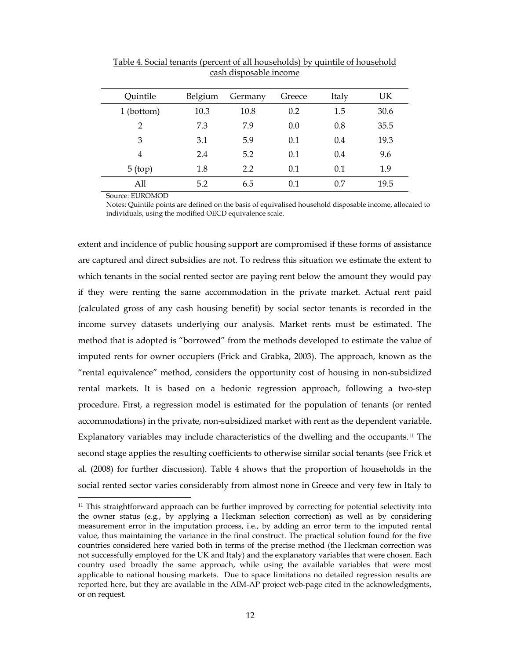| Quintile           | Belgium | Germany | Greece | Italy | UΚ   |
|--------------------|---------|---------|--------|-------|------|
| 1 (bottom)         | 10.3    | 10.8    | 0.2    | 1.5   | 30.6 |
| 2                  | 7.3     | 7.9     | 0.0    | 0.8   | 35.5 |
| 3                  | 3.1     | 5.9     | 0.1    | 0.4   | 19.3 |
| 4                  | 2.4     | 5.2     | 0.1    | 0.4   | 9.6  |
| 5 <sub>(top)</sub> | 1.8     | 2.2     | 0.1    | 0.1   | 1.9  |
| All                | 5.2     | 6.5     | 0.1    | 0.7   | 19.5 |

Table 4. Social tenants (percent of all households) by quintile of household cash disposable income

Source: EUROMOD

-

Notes: Quintile points are defined on the basis of equivalised household disposable income, allocated to individuals, using the modified OECD equivalence scale.

extent and incidence of public housing support are compromised if these forms of assistance are captured and direct subsidies are not. To redress this situation we estimate the extent to which tenants in the social rented sector are paying rent below the amount they would pay if they were renting the same accommodation in the private market. Actual rent paid (calculated gross of any cash housing benefit) by social sector tenants is recorded in the income survey datasets underlying our analysis. Market rents must be estimated. The method that is adopted is "borrowed" from the methods developed to estimate the value of imputed rents for owner occupiers (Frick and Grabka, 2003). The approach, known as the "rental equivalence" method, considers the opportunity cost of housing in non-subsidized rental markets. It is based on a hedonic regression approach, following a two-step procedure. First, a regression model is estimated for the population of tenants (or rented accommodations) in the private, non-subsidized market with rent as the dependent variable. Explanatory variables may include characteristics of the dwelling and the occupants.11 The second stage applies the resulting coefficients to otherwise similar social tenants (see Frick et al. (2008) for further discussion). Table 4 shows that the proportion of households in the social rented sector varies considerably from almost none in Greece and very few in Italy to

<sup>&</sup>lt;sup>11</sup> This straightforward approach can be further improved by correcting for potential selectivity into the owner status (e.g., by applying a Heckman selection correction) as well as by considering measurement error in the imputation process, i.e., by adding an error term to the imputed rental value, thus maintaining the variance in the final construct. The practical solution found for the five countries considered here varied both in terms of the precise method (the Heckman correction was not successfully employed for the UK and Italy) and the explanatory variables that were chosen. Each country used broadly the same approach, while using the available variables that were most applicable to national housing markets. Due to space limitations no detailed regression results are reported here, but they are available in the AIM-AP project web-page cited in the acknowledgments, or on request.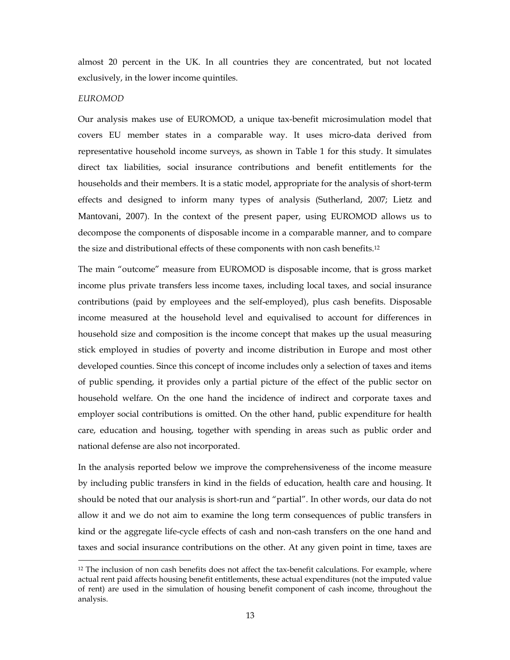almost 20 percent in the UK. In all countries they are concentrated, but not located exclusively, in the lower income quintiles.

#### *EUROMOD*

-

Our analysis makes use of EUROMOD, a unique tax-benefit microsimulation model that covers EU member states in a comparable way. It uses micro-data derived from representative household income surveys, as shown in Table 1 for this study. It simulates direct tax liabilities, social insurance contributions and benefit entitlements for the households and their members. It is a static model, appropriate for the analysis of short-term effects and designed to inform many types of analysis (Sutherland, 2007; Lietz and Mantovani, 2007). In the context of the present paper, using EUROMOD allows us to decompose the components of disposable income in a comparable manner, and to compare the size and distributional effects of these components with non cash benefits.12

The main "outcome" measure from EUROMOD is disposable income, that is gross market income plus private transfers less income taxes, including local taxes, and social insurance contributions (paid by employees and the self-employed), plus cash benefits. Disposable income measured at the household level and equivalised to account for differences in household size and composition is the income concept that makes up the usual measuring stick employed in studies of poverty and income distribution in Europe and most other developed counties. Since this concept of income includes only a selection of taxes and items of public spending, it provides only a partial picture of the effect of the public sector on household welfare. On the one hand the incidence of indirect and corporate taxes and employer social contributions is omitted. On the other hand, public expenditure for health care, education and housing, together with spending in areas such as public order and national defense are also not incorporated.

In the analysis reported below we improve the comprehensiveness of the income measure by including public transfers in kind in the fields of education, health care and housing. It should be noted that our analysis is short-run and "partial". In other words, our data do not allow it and we do not aim to examine the long term consequences of public transfers in kind or the aggregate life-cycle effects of cash and non-cash transfers on the one hand and taxes and social insurance contributions on the other. At any given point in time, taxes are

<sup>&</sup>lt;sup>12</sup> The inclusion of non cash benefits does not affect the tax-benefit calculations. For example, where actual rent paid affects housing benefit entitlements, these actual expenditures (not the imputed value of rent) are used in the simulation of housing benefit component of cash income, throughout the analysis.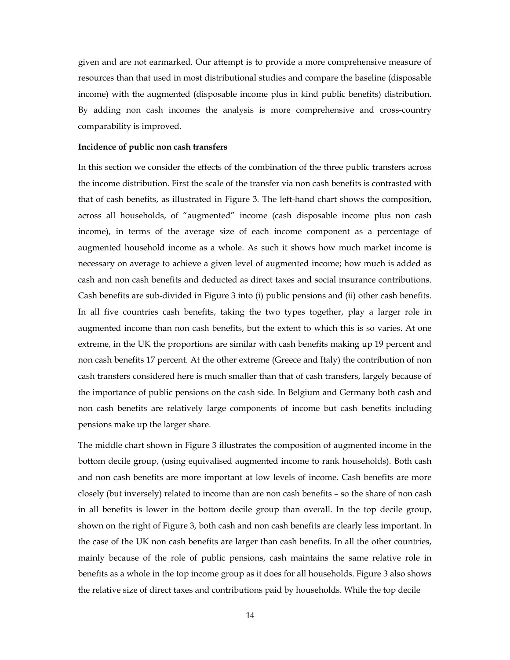given and are not earmarked. Our attempt is to provide a more comprehensive measure of resources than that used in most distributional studies and compare the baseline (disposable income) with the augmented (disposable income plus in kind public benefits) distribution. By adding non cash incomes the analysis is more comprehensive and cross-country comparability is improved.

#### **Incidence of public non cash transfers**

In this section we consider the effects of the combination of the three public transfers across the income distribution. First the scale of the transfer via non cash benefits is contrasted with that of cash benefits, as illustrated in Figure 3. The left-hand chart shows the composition, across all households, of "augmented" income (cash disposable income plus non cash income), in terms of the average size of each income component as a percentage of augmented household income as a whole. As such it shows how much market income is necessary on average to achieve a given level of augmented income; how much is added as cash and non cash benefits and deducted as direct taxes and social insurance contributions. Cash benefits are sub-divided in Figure 3 into (i) public pensions and (ii) other cash benefits. In all five countries cash benefits, taking the two types together, play a larger role in augmented income than non cash benefits, but the extent to which this is so varies. At one extreme, in the UK the proportions are similar with cash benefits making up 19 percent and non cash benefits 17 percent. At the other extreme (Greece and Italy) the contribution of non cash transfers considered here is much smaller than that of cash transfers, largely because of the importance of public pensions on the cash side. In Belgium and Germany both cash and non cash benefits are relatively large components of income but cash benefits including pensions make up the larger share.

The middle chart shown in Figure 3 illustrates the composition of augmented income in the bottom decile group, (using equivalised augmented income to rank households). Both cash and non cash benefits are more important at low levels of income. Cash benefits are more closely (but inversely) related to income than are non cash benefits – so the share of non cash in all benefits is lower in the bottom decile group than overall. In the top decile group, shown on the right of Figure 3, both cash and non cash benefits are clearly less important. In the case of the UK non cash benefits are larger than cash benefits. In all the other countries, mainly because of the role of public pensions, cash maintains the same relative role in benefits as a whole in the top income group as it does for all households. Figure 3 also shows the relative size of direct taxes and contributions paid by households. While the top decile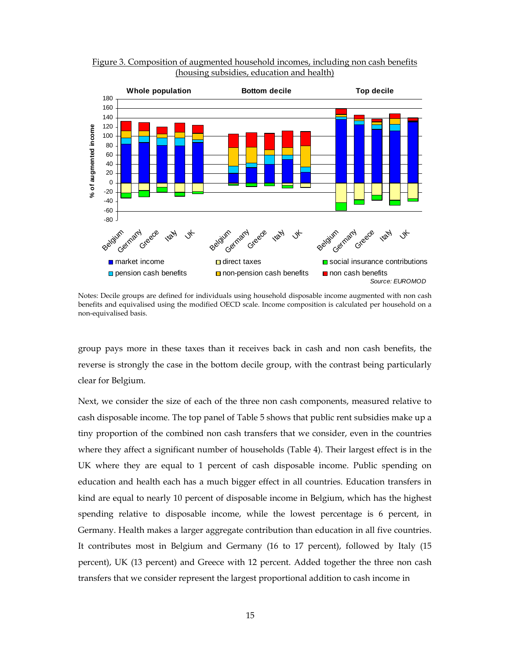Figure 3. Composition of augmented household incomes, including non cash benefits (housing subsidies, education and health)



Notes: Decile groups are defined for individuals using household disposable income augmented with non cash benefits and equivalised using the modified OECD scale. Income composition is calculated per household on a non-equivalised basis.

group pays more in these taxes than it receives back in cash and non cash benefits, the reverse is strongly the case in the bottom decile group, with the contrast being particularly clear for Belgium.

Next, we consider the size of each of the three non cash components, measured relative to cash disposable income. The top panel of Table 5 shows that public rent subsidies make up a tiny proportion of the combined non cash transfers that we consider, even in the countries where they affect a significant number of households (Table 4). Their largest effect is in the UK where they are equal to 1 percent of cash disposable income. Public spending on education and health each has a much bigger effect in all countries. Education transfers in kind are equal to nearly 10 percent of disposable income in Belgium, which has the highest spending relative to disposable income, while the lowest percentage is 6 percent, in Germany. Health makes a larger aggregate contribution than education in all five countries. It contributes most in Belgium and Germany (16 to 17 percent), followed by Italy (15 percent), UK (13 percent) and Greece with 12 percent. Added together the three non cash transfers that we consider represent the largest proportional addition to cash income in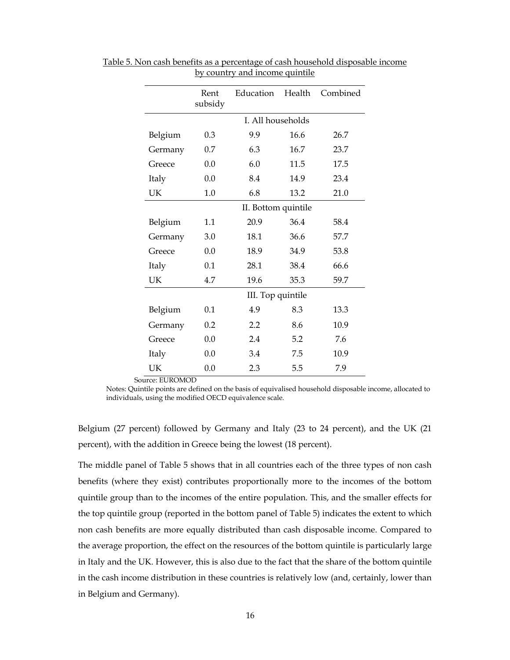|         | Rent<br>subsidy | Education           | Health | Combined |  |  |  |
|---------|-----------------|---------------------|--------|----------|--|--|--|
|         |                 | I. All households   |        |          |  |  |  |
| Belgium | 0.3             | 9.9                 | 16.6   | 26.7     |  |  |  |
| Germany | 0.7             | 6.3                 | 16.7   | 23.7     |  |  |  |
| Greece  | 0.0             | 6.0                 | 11.5   | 17.5     |  |  |  |
| Italy   | 0.0             | 8.4                 | 14.9   | 23.4     |  |  |  |
| UK      | 1.0             | 6.8                 | 13.2   | 21.0     |  |  |  |
|         |                 | II. Bottom quintile |        |          |  |  |  |
| Belgium | 1.1             | 20.9                | 36.4   | 58.4     |  |  |  |
| Germany | 3.0             | 18.1                | 36.6   | 57.7     |  |  |  |
| Greece  | 0.0             | 18.9                | 34.9   | 53.8     |  |  |  |
| Italy   | 0.1             | 28.1                | 38.4   | 66.6     |  |  |  |
| UK      | 4.7             | 19.6                | 35.3   | 59.7     |  |  |  |
|         |                 | III. Top quintile   |        |          |  |  |  |
| Belgium | 0.1             | 4.9                 | 8.3    | 13.3     |  |  |  |
| Germany | 0.2             | 2.2                 | 8.6    | 10.9     |  |  |  |
| Greece  | 0.0             | 2.4                 | 5.2    | 7.6      |  |  |  |
| Italy   | 0.0             | 3.4                 | 7.5    | 10.9     |  |  |  |
| UK      | 0.0             | 2.3                 | 5.5    | 7.9      |  |  |  |

Table 5. Non cash benefits as a percentage of cash household disposable income by country and income quintile

Source: EUROMOD

Notes: Quintile points are defined on the basis of equivalised household disposable income, allocated to individuals, using the modified OECD equivalence scale.

Belgium (27 percent) followed by Germany and Italy (23 to 24 percent), and the UK (21 percent), with the addition in Greece being the lowest (18 percent).

The middle panel of Table 5 shows that in all countries each of the three types of non cash benefits (where they exist) contributes proportionally more to the incomes of the bottom quintile group than to the incomes of the entire population. This, and the smaller effects for the top quintile group (reported in the bottom panel of Table 5) indicates the extent to which non cash benefits are more equally distributed than cash disposable income. Compared to the average proportion, the effect on the resources of the bottom quintile is particularly large in Italy and the UK. However, this is also due to the fact that the share of the bottom quintile in the cash income distribution in these countries is relatively low (and, certainly, lower than in Belgium and Germany).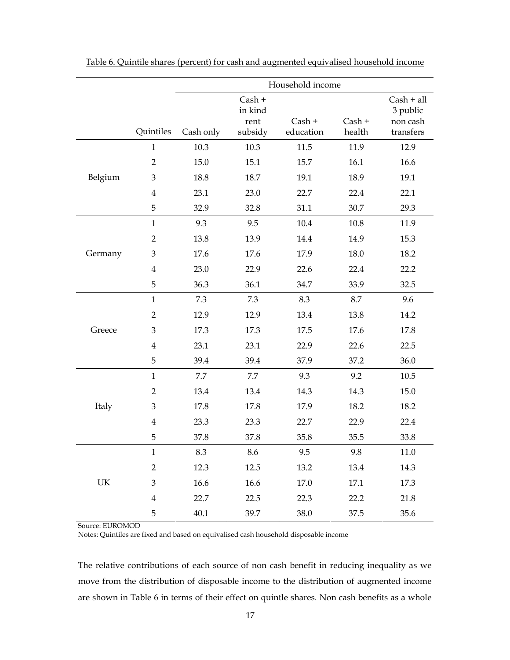|         |                | Household income |                                      |                       |                    |                                                   |  |  |  |
|---------|----------------|------------------|--------------------------------------|-----------------------|--------------------|---------------------------------------------------|--|--|--|
|         | Quintiles      | Cash only        | Cash +<br>in kind<br>rent<br>subsidy | $Cash +$<br>education | $Cash +$<br>health | $Cash + all$<br>3 public<br>non cash<br>transfers |  |  |  |
|         | $\mathbf{1}$   | 10.3             | 10.3                                 | 11.5                  | 11.9               | 12.9                                              |  |  |  |
|         | $\overline{2}$ | 15.0             | 15.1                                 | 15.7                  | 16.1               | 16.6                                              |  |  |  |
| Belgium | $\mathfrak 3$  | 18.8             | 18.7                                 | 19.1                  | 18.9               | 19.1                                              |  |  |  |
|         | $\overline{4}$ | 23.1             | 23.0                                 | 22.7                  | 22.4               | 22.1                                              |  |  |  |
|         | 5              | 32.9             | 32.8                                 | 31.1                  | 30.7               | 29.3                                              |  |  |  |
|         | $\mathbf{1}$   | 9.3              | 9.5                                  | $10.4\,$              | $10.8\,$           | 11.9                                              |  |  |  |
|         | $\sqrt{2}$     | 13.8             | 13.9                                 | 14.4                  | 14.9               | 15.3                                              |  |  |  |
| Germany | $\mathfrak 3$  | 17.6             | 17.6                                 | 17.9                  | 18.0               | 18.2                                              |  |  |  |
|         | $\overline{4}$ | 23.0             | 22.9                                 | 22.6                  | 22.4               | 22.2                                              |  |  |  |
|         | 5              | 36.3             | 36.1                                 | 34.7                  | 33.9               | 32.5                                              |  |  |  |
|         | $\mathbf 1$    | 7.3              | 7.3                                  | 8.3                   | 8.7                | 9.6                                               |  |  |  |
|         | $\sqrt{2}$     | 12.9             | 12.9                                 | 13.4                  | 13.8               | 14.2                                              |  |  |  |
| Greece  | $\mathfrak 3$  | 17.3             | 17.3                                 | 17.5                  | 17.6               | 17.8                                              |  |  |  |
|         | $\overline{4}$ | 23.1             | 23.1                                 | 22.9                  | 22.6               | 22.5                                              |  |  |  |
|         | 5              | 39.4             | 39.4                                 | 37.9                  | 37.2               | 36.0                                              |  |  |  |
|         | $\mathbf 1$    | 7.7              | 7.7                                  | 9.3                   | 9.2                | $10.5\,$                                          |  |  |  |
|         | $\overline{2}$ | 13.4             | 13.4                                 | 14.3                  | 14.3               | 15.0                                              |  |  |  |
| Italy   | $\mathfrak 3$  | 17.8             | 17.8                                 | 17.9                  | 18.2               | 18.2                                              |  |  |  |
|         | $\overline{4}$ | 23.3             | 23.3                                 | 22.7                  | 22.9               | 22.4                                              |  |  |  |
|         | 5              | 37.8             | 37.8                                 | 35.8                  | 35.5               | 33.8                                              |  |  |  |
|         | $\mathbf{1}$   | $8.3\,$          | 8.6                                  | 9.5                   | 9.8                | $11.0\,$                                          |  |  |  |
|         | $\overline{2}$ | 12.3             | 12.5                                 | 13.2                  | 13.4               | 14.3                                              |  |  |  |
| UK      | 3              | 16.6             | 16.6                                 | 17.0                  | 17.1               | 17.3                                              |  |  |  |
|         | $\overline{4}$ | 22.7             | 22.5                                 | 22.3                  | 22.2               | 21.8                                              |  |  |  |
|         | 5              | 40.1             | 39.7                                 | 38.0                  | 37.5               | 35.6                                              |  |  |  |

| Table 6. Quintile shares (percent) for cash and augmented equivalised household income |
|----------------------------------------------------------------------------------------|
|----------------------------------------------------------------------------------------|

Source: EUROMOD

Notes: Quintiles are fixed and based on equivalised cash household disposable income

The relative contributions of each source of non cash benefit in reducing inequality as we move from the distribution of disposable income to the distribution of augmented income are shown in Table 6 in terms of their effect on quintle shares. Non cash benefits as a whole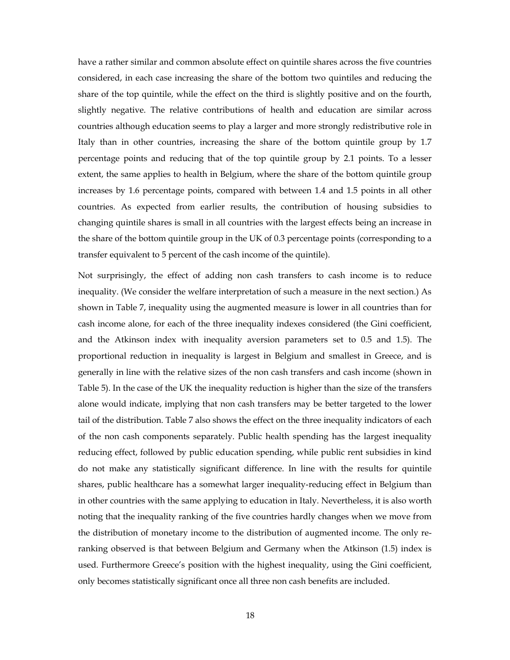have a rather similar and common absolute effect on quintile shares across the five countries considered, in each case increasing the share of the bottom two quintiles and reducing the share of the top quintile, while the effect on the third is slightly positive and on the fourth, slightly negative. The relative contributions of health and education are similar across countries although education seems to play a larger and more strongly redistributive role in Italy than in other countries, increasing the share of the bottom quintile group by 1.7 percentage points and reducing that of the top quintile group by 2.1 points. To a lesser extent, the same applies to health in Belgium, where the share of the bottom quintile group increases by 1.6 percentage points, compared with between 1.4 and 1.5 points in all other countries. As expected from earlier results, the contribution of housing subsidies to changing quintile shares is small in all countries with the largest effects being an increase in the share of the bottom quintile group in the UK of 0.3 percentage points (corresponding to a transfer equivalent to 5 percent of the cash income of the quintile).

Not surprisingly, the effect of adding non cash transfers to cash income is to reduce inequality. (We consider the welfare interpretation of such a measure in the next section.) As shown in Table 7, inequality using the augmented measure is lower in all countries than for cash income alone, for each of the three inequality indexes considered (the Gini coefficient, and the Atkinson index with inequality aversion parameters set to 0.5 and 1.5). The proportional reduction in inequality is largest in Belgium and smallest in Greece, and is generally in line with the relative sizes of the non cash transfers and cash income (shown in Table 5). In the case of the UK the inequality reduction is higher than the size of the transfers alone would indicate, implying that non cash transfers may be better targeted to the lower tail of the distribution. Table 7 also shows the effect on the three inequality indicators of each of the non cash components separately. Public health spending has the largest inequality reducing effect, followed by public education spending, while public rent subsidies in kind do not make any statistically significant difference. In line with the results for quintile shares, public healthcare has a somewhat larger inequality-reducing effect in Belgium than in other countries with the same applying to education in Italy. Nevertheless, it is also worth noting that the inequality ranking of the five countries hardly changes when we move from the distribution of monetary income to the distribution of augmented income. The only reranking observed is that between Belgium and Germany when the Atkinson (1.5) index is used. Furthermore Greece's position with the highest inequality, using the Gini coefficient, only becomes statistically significant once all three non cash benefits are included.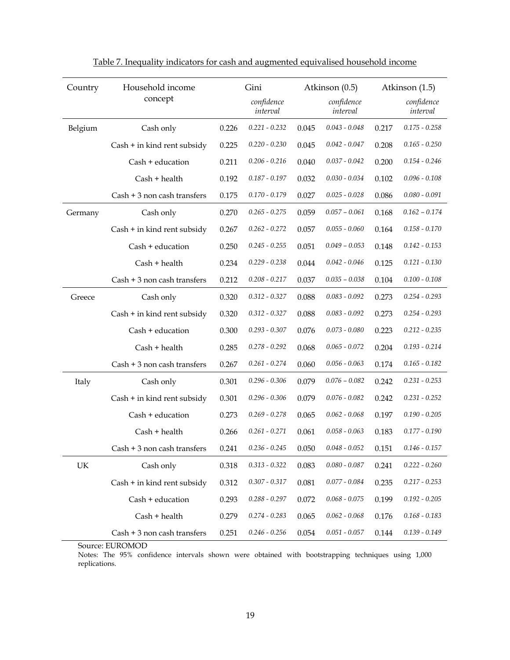| Country | Household income              | Gini  |                        | Atkinson (0.5) |                        |       | Atkinson (1.5)         |
|---------|-------------------------------|-------|------------------------|----------------|------------------------|-------|------------------------|
|         | concept                       |       | confidence<br>interval |                | confidence<br>interval |       | confidence<br>interval |
| Belgium | Cash only                     | 0.226 | $0.221 - 0.232$        | 0.045          | $0.043 - 0.048$        | 0.217 | $0.175 - 0.258$        |
|         | $Cash + in$ kind rent subsidy | 0.225 | $0.220 - 0.230$        | 0.045          | $0.042 - 0.047$        | 0.208 | $0.165 - 0.250$        |
|         | Cash + education              | 0.211 | $0.206 - 0.216$        | 0.040          | $0.037 - 0.042$        | 0.200 | $0.154 - 0.246$        |
|         | Cash + health                 | 0.192 | $0.187 - 0.197$        | 0.032          | $0.030 - 0.034$        | 0.102 | $0.096 - 0.108$        |
|         | $Cash + 3$ non cash transfers | 0.175 | $0.170 - 0.179$        | 0.027          | $0.025 - 0.028$        | 0.086 | $0.080 - 0.091$        |
| Germany | Cash only                     | 0.270 | $0.265 - 0.275$        | 0.059          | $0.057 - 0.061$        | 0.168 | $0.162 - 0.174$        |
|         | $Cash + in kind$ rent subsidy | 0.267 | $0.262 - 0.272$        | 0.057          | $0.055 - 0.060$        | 0.164 | $0.158 - 0.170$        |
|         | Cash + education              | 0.250 | $0.245 - 0.255$        | 0.051          | $0.049 - 0.053$        | 0.148 | $0.142 - 0.153$        |
|         | Cash + health                 | 0.234 | $0.229 - 0.238$        | 0.044          | $0.042 - 0.046$        | 0.125 | $0.121 - 0.130$        |
|         | $Cash + 3$ non cash transfers | 0.212 | $0.208 - 0.217$        | 0.037          | $0.035 - 0.038$        | 0.104 | $0.100 - 0.108$        |
| Greece  | Cash only                     | 0.320 | $0.312 - 0.327$        | 0.088          | $0.083 - 0.092$        | 0.273 | $0.254 - 0.293$        |
|         | $Cash + in kind$ rent subsidy | 0.320 | $0.312 - 0.327$        | 0.088          | $0.083 - 0.092$        | 0.273 | $0.254 - 0.293$        |
|         | Cash + education              | 0.300 | $0.293 - 0.307$        | 0.076          | $0.073 - 0.080$        | 0.223 | $0.212 - 0.235$        |
|         | Cash + health                 | 0.285 | $0.278 - 0.292$        | 0.068          | $0.065 - 0.072$        | 0.204 | $0.193 - 0.214$        |
|         | $Cash + 3$ non cash transfers | 0.267 | $0.261 - 0.274$        | 0.060          | $0.056 - 0.063$        | 0.174 | $0.165 - 0.182$        |
| Italy   | Cash only                     | 0.301 | $0.296 - 0.306$        | 0.079          | $0.076 - 0.082$        | 0.242 | $0.231 - 0.253$        |
|         | $Cash + in kind$ rent subsidy | 0.301 | $0.296 - 0.306$        | 0.079          | $0.076 - 0.082$        | 0.242 | $0.231 - 0.252$        |
|         | Cash + education              | 0.273 | $0.269 - 0.278$        | 0.065          | $0.062 - 0.068$        | 0.197 | $0.190 - 0.205$        |
|         | Cash + health                 | 0.266 | $0.261 - 0.271$        | 0.061          | $0.058 - 0.063$        | 0.183 | $0.177 - 0.190$        |
|         | $Cash + 3$ non cash transfers | 0.241 | $0.236 - 0.245$        | 0.050          | $0.048 - 0.052$        | 0.151 | $0.146 - 0.157$        |
| UK      | Cash only                     | 0.318 | $0.313 - 0.322$        | 0.083          | $0.080 - 0.087$        | 0.241 | $0.222 - 0.260$        |
|         | Cash + in kind rent subsidy   | 0.312 | $0.307 - 0.317$        | 0.081          | $0.077 - 0.084$        | 0.235 | $0.217 - 0.253$        |
|         | Cash + education              | 0.293 | $0.288 - 0.297$        | 0.072          | $0.068 - 0.075$        | 0.199 | $0.192 - 0.205$        |
|         | Cash + health                 | 0.279 | $0.274 - 0.283$        | 0.065          | $0.062 - 0.068$        | 0.176 | $0.168 - 0.183$        |
|         | $Cash + 3$ non cash transfers | 0.251 | $0.246 - 0.256$        | 0.054          | $0.051 - 0.057$        | 0.144 | $0.139 - 0.149$        |

Table 7. Inequality indicators for cash and augmented equivalised household income

Source: EUROMOD

Notes: The 95% confidence intervals shown were obtained with bootstrapping techniques using 1,000 replications.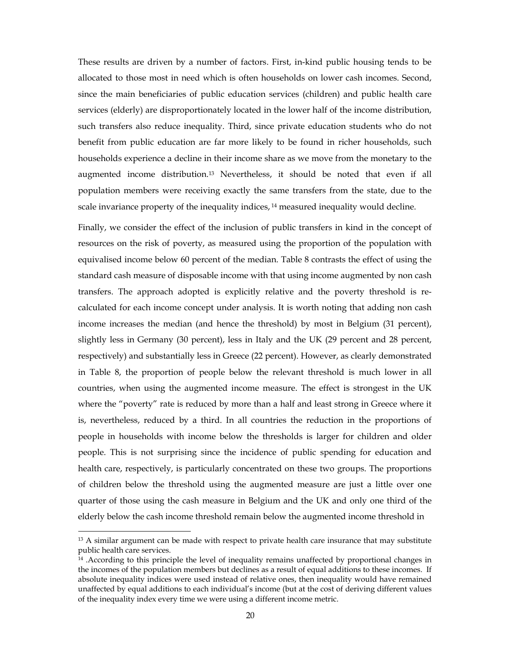These results are driven by a number of factors. First, in-kind public housing tends to be allocated to those most in need which is often households on lower cash incomes. Second, since the main beneficiaries of public education services (children) and public health care services (elderly) are disproportionately located in the lower half of the income distribution, such transfers also reduce inequality. Third, since private education students who do not benefit from public education are far more likely to be found in richer households, such households experience a decline in their income share as we move from the monetary to the augmented income distribution.13 Nevertheless, it should be noted that even if all population members were receiving exactly the same transfers from the state, due to the scale invariance property of the inequality indices,  $14$  measured inequality would decline.

Finally, we consider the effect of the inclusion of public transfers in kind in the concept of resources on the risk of poverty, as measured using the proportion of the population with equivalised income below 60 percent of the median. Table 8 contrasts the effect of using the standard cash measure of disposable income with that using income augmented by non cash transfers. The approach adopted is explicitly relative and the poverty threshold is recalculated for each income concept under analysis. It is worth noting that adding non cash income increases the median (and hence the threshold) by most in Belgium (31 percent), slightly less in Germany (30 percent), less in Italy and the UK (29 percent and 28 percent, respectively) and substantially less in Greece (22 percent). However, as clearly demonstrated in Table 8, the proportion of people below the relevant threshold is much lower in all countries, when using the augmented income measure. The effect is strongest in the UK where the "poverty" rate is reduced by more than a half and least strong in Greece where it is, nevertheless, reduced by a third. In all countries the reduction in the proportions of people in households with income below the thresholds is larger for children and older people. This is not surprising since the incidence of public spending for education and health care, respectively, is particularly concentrated on these two groups. The proportions of children below the threshold using the augmented measure are just a little over one quarter of those using the cash measure in Belgium and the UK and only one third of the elderly below the cash income threshold remain below the augmented income threshold in

-

 $13$  A similar argument can be made with respect to private health care insurance that may substitute public health care services.

<sup>14 .</sup>According to this principle the level of inequality remains unaffected by proportional changes in the incomes of the population members but declines as a result of equal additions to these incomes. If absolute inequality indices were used instead of relative ones, then inequality would have remained unaffected by equal additions to each individual's income (but at the cost of deriving different values of the inequality index every time we were using a different income metric.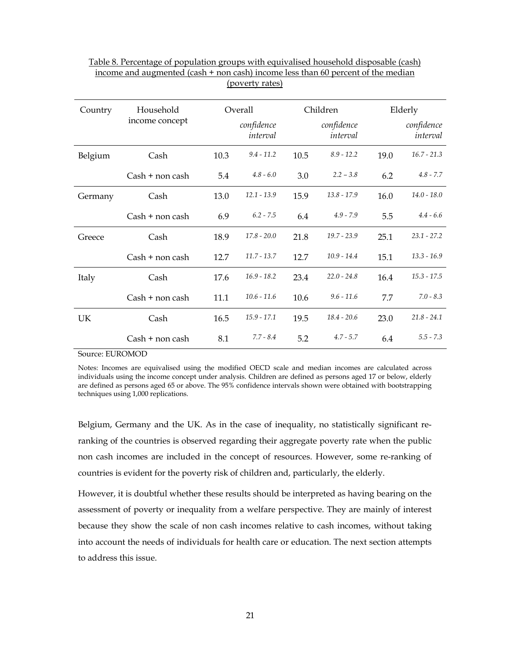| Country | Household       |      | Overall                |      | Children               | Elderly |                        |
|---------|-----------------|------|------------------------|------|------------------------|---------|------------------------|
|         | income concept  |      | confidence<br>interval |      | confidence<br>interval |         | confidence<br>interval |
| Belgium | Cash            | 10.3 | $9.4 - 11.2$           | 10.5 | $8.9 - 12.2$           | 19.0    | $16.7 - 21.3$          |
|         | Cash + non cash | 5.4  | $4.8 - 6.0$            | 3.0  | $2.2 - 3.8$            | 6.2     | $4.8 - 7.7$            |
| Germany | Cash            | 13.0 | $12.1 - 13.9$          | 15.9 | $13.8 - 17.9$          | 16.0    | $14.0 - 18.0$          |
|         | Cash + non cash | 6.9  | $6.2 - 7.5$            | 6.4  | $4.9 - 7.9$            | 5.5     | $4.4 - 6.6$            |
| Greece  | Cash            | 18.9 | $17.8 - 20.0$          | 21.8 | $19.7 - 23.9$          | 25.1    | $23.1 - 27.2$          |
|         | Cash + non cash | 12.7 | $11.7 - 13.7$          | 12.7 | $10.9 - 14.4$          | 15.1    | $13.3 - 16.9$          |
| Italy   | Cash            | 17.6 | $16.9 - 18.2$          | 23.4 | $22.0 - 24.8$          | 16.4    | $15.3 - 17.5$          |
|         | Cash + non cash | 11.1 | $10.6 - 11.6$          | 10.6 | $9.6 - 11.6$           | 7.7     | $7.0 - 8.3$            |
| UK.     | Cash            | 16.5 | $15.9 - 17.1$          | 19.5 | $18.4 - 20.6$          | 23.0    | $21.8 - 24.1$          |
|         | Cash + non cash | 8.1  | $7.7 - 8.4$            | 5.2  | $4.7 - 5.7$            | 6.4     | $5.5 - 7.3$            |

| Table 8. Percentage of population groups with equivalised household disposable (cash) |
|---------------------------------------------------------------------------------------|
| income and augmented (cash + non cash) income less than 60 percent of the median      |
| (poverty rates)                                                                       |

Source: EUROMOD

Notes: Incomes are equivalised using the modified OECD scale and median incomes are calculated across individuals using the income concept under analysis. Children are defined as persons aged 17 or below, elderly are defined as persons aged 65 or above. The 95% confidence intervals shown were obtained with bootstrapping techniques using 1,000 replications.

Belgium, Germany and the UK. As in the case of inequality, no statistically significant reranking of the countries is observed regarding their aggregate poverty rate when the public non cash incomes are included in the concept of resources. However, some re-ranking of countries is evident for the poverty risk of children and, particularly, the elderly.

However, it is doubtful whether these results should be interpreted as having bearing on the assessment of poverty or inequality from a welfare perspective. They are mainly of interest because they show the scale of non cash incomes relative to cash incomes, without taking into account the needs of individuals for health care or education. The next section attempts to address this issue.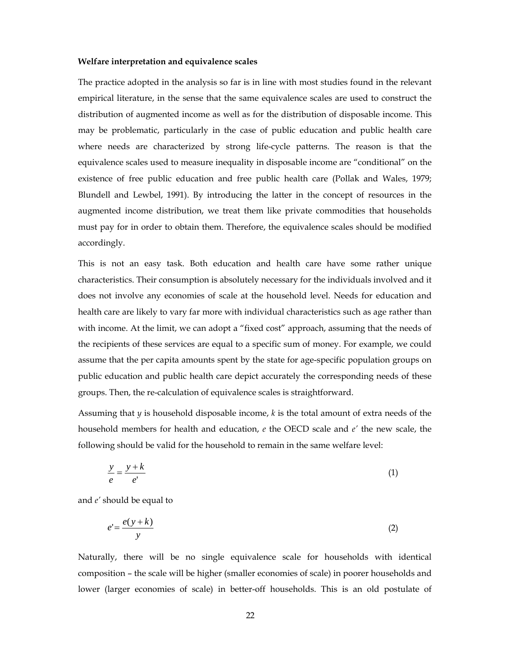#### **Welfare interpretation and equivalence scales**

The practice adopted in the analysis so far is in line with most studies found in the relevant empirical literature, in the sense that the same equivalence scales are used to construct the distribution of augmented income as well as for the distribution of disposable income. This may be problematic, particularly in the case of public education and public health care where needs are characterized by strong life-cycle patterns. The reason is that the equivalence scales used to measure inequality in disposable income are "conditional" on the existence of free public education and free public health care (Pollak and Wales, 1979; Blundell and Lewbel, 1991). By introducing the latter in the concept of resources in the augmented income distribution, we treat them like private commodities that households must pay for in order to obtain them. Therefore, the equivalence scales should be modified accordingly.

This is not an easy task. Both education and health care have some rather unique characteristics. Their consumption is absolutely necessary for the individuals involved and it does not involve any economies of scale at the household level. Needs for education and health care are likely to vary far more with individual characteristics such as age rather than with income. At the limit, we can adopt a "fixed cost" approach, assuming that the needs of the recipients of these services are equal to a specific sum of money. For example, we could assume that the per capita amounts spent by the state for age-specific population groups on public education and public health care depict accurately the corresponding needs of these groups. Then, the re-calculation of equivalence scales is straightforward.

Assuming that *y* is household disposable income, *k* is the total amount of extra needs of the household members for health and education, *e* the OECD scale and *e'* the new scale, the following should be valid for the household to remain in the same welfare level:

$$
\frac{y}{e} = \frac{y + k}{e'}\tag{1}
$$

and *e'* should be equal to

$$
e' = \frac{e(y+k)}{y} \tag{2}
$$

Naturally, there will be no single equivalence scale for households with identical composition – the scale will be higher (smaller economies of scale) in poorer households and lower (larger economies of scale) in better-off households. This is an old postulate of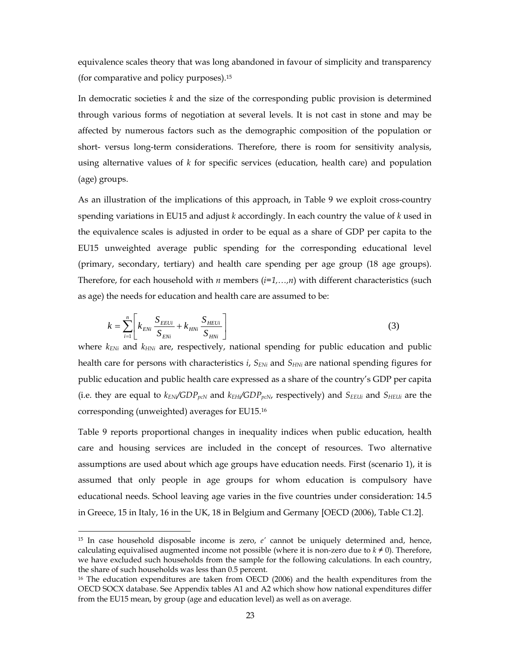equivalence scales theory that was long abandoned in favour of simplicity and transparency (for comparative and policy purposes).15

In democratic societies *k* and the size of the corresponding public provision is determined through various forms of negotiation at several levels. It is not cast in stone and may be affected by numerous factors such as the demographic composition of the population or short- versus long-term considerations. Therefore, there is room for sensitivity analysis, using alternative values of *k* for specific services (education, health care) and population (age) groups.

As an illustration of the implications of this approach, in Table 9 we exploit cross-country spending variations in EU15 and adjust *k* accordingly. In each country the value of *k* used in the equivalence scales is adjusted in order to be equal as a share of GDP per capita to the EU15 unweighted average public spending for the corresponding educational level (primary, secondary, tertiary) and health care spending per age group (18 age groups). Therefore, for each household with *n* members (*i=1,…,n*) with different characteristics (such as age) the needs for education and health care are assumed to be:

$$
k = \sum_{i=1}^{n} \left[ k_{ENi} \frac{S_{EEUi}}{S_{ENi}} + k_{HNi} \frac{S_{HEUi}}{S_{HNi}} \right]
$$
 (3)

where  $k_{ENi}$  and  $k_{HNi}$  are, respectively, national spending for public education and public health care for persons with characteristics *i*, *SENi* and *SHNi* are national spending figures for public education and public health care expressed as a share of the country's GDP per capita (i.e. they are equal to  $k_{ENi}/GDP_{pCN}$  and  $k_{EHi}/GDP_{pCN}$ , respectively) and  $S_{EEUi}$  and  $S_{HEUi}$  are the corresponding (unweighted) averages for EU15.16

Table 9 reports proportional changes in inequality indices when public education, health care and housing services are included in the concept of resources. Two alternative assumptions are used about which age groups have education needs. First (scenario 1), it is assumed that only people in age groups for whom education is compulsory have educational needs. School leaving age varies in the five countries under consideration: 14.5 in Greece, 15 in Italy, 16 in the UK, 18 in Belgium and Germany [OECD (2006), Table C1.2].

-

<sup>15</sup> In case household disposable income is zero, *e'* cannot be uniquely determined and, hence, calculating equivalised augmented income not possible (where it is non-zero due to  $k \neq 0$ ). Therefore, we have excluded such households from the sample for the following calculations. In each country, the share of such households was less than 0.5 percent.

<sup>&</sup>lt;sup>16</sup> The education expenditures are taken from OECD (2006) and the health expenditures from the OECD SOCX database. See Appendix tables A1 and A2 which show how national expenditures differ from the EU15 mean, by group (age and education level) as well as on average.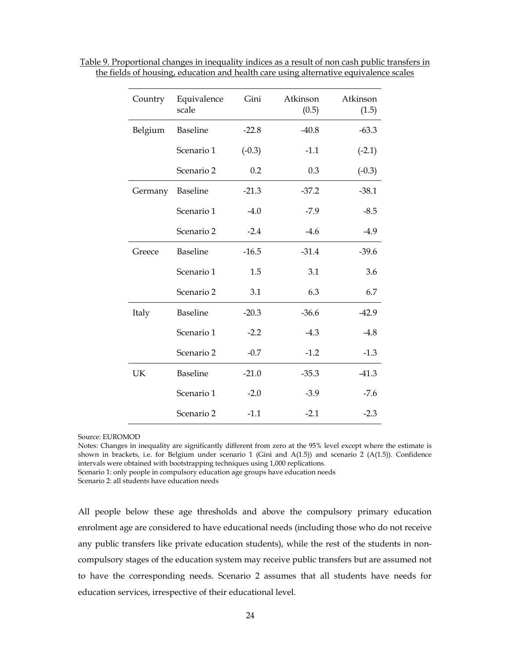| Country | Equivalence<br>scale | Gini     | Atkinson<br>(0.5) | Atkinson<br>(1.5) |
|---------|----------------------|----------|-------------------|-------------------|
| Belgium | <b>Baseline</b>      | $-22.8$  | $-40.8$           | $-63.3$           |
|         | Scenario 1           | $(-0.3)$ | $-1.1$            | $(-2.1)$          |
|         | Scenario 2           | 0.2      | 0.3               | $(-0.3)$          |
| Germany | <b>Baseline</b>      | $-21.3$  | $-37.2$           | $-38.1$           |
|         | Scenario 1           | $-4.0$   | $-7.9$            | $-8.5$            |
|         | Scenario 2           | $-2.4$   | $-4.6$            | $-4.9$            |
| Greece  | <b>Baseline</b>      | $-16.5$  | $-31.4$           | $-39.6$           |
|         | Scenario 1           | 1.5      | 3.1               | 3.6               |
|         | Scenario 2           | 3.1      | 6.3               | 6.7               |
| Italy   | <b>Baseline</b>      | $-20.3$  | $-36.6$           | $-42.9$           |
|         | Scenario 1           | $-2.2$   | $-4.3$            | $-4.8$            |
|         | Scenario 2           | $-0.7$   | $-1.2$            | $-1.3$            |
| UK      | <b>Baseline</b>      | $-21.0$  | $-35.3$           | $-41.3$           |
|         | Scenario 1           | $-2.0$   | $-3.9$            | $-7.6$            |
|         | Scenario 2           | $-1.1$   | $-2.1$            | $-2.3$            |

Table 9. Proportional changes in inequality indices as a result of non cash public transfers in the fields of housing, education and health care using alternative equivalence scales

Source: EUROMOD

Notes: Changes in inequality are significantly different from zero at the 95% level except where the estimate is shown in brackets, i.e. for Belgium under scenario 1 (Gini and  $A(1.5)$ ) and scenario 2 ( $A(1.5)$ ). Confidence intervals were obtained with bootstrapping techniques using 1,000 replications.

Scenario 1: only people in compulsory education age groups have education needs

Scenario 2: all students have education needs

All people below these age thresholds and above the compulsory primary education enrolment age are considered to have educational needs (including those who do not receive any public transfers like private education students), while the rest of the students in noncompulsory stages of the education system may receive public transfers but are assumed not to have the corresponding needs. Scenario 2 assumes that all students have needs for education services, irrespective of their educational level.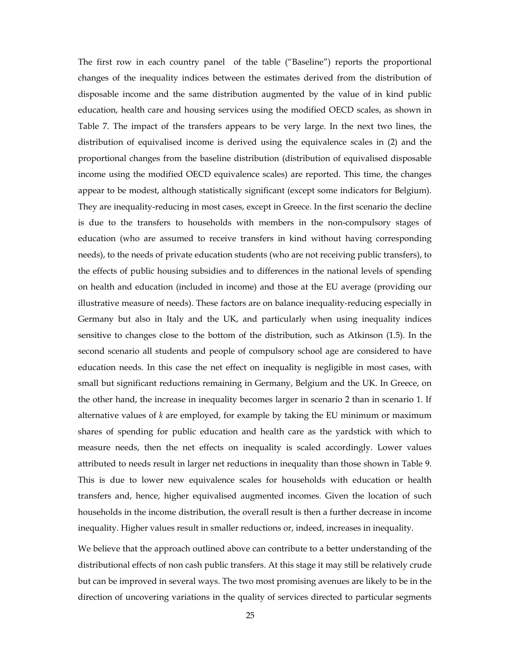The first row in each country panel of the table ("Baseline") reports the proportional changes of the inequality indices between the estimates derived from the distribution of disposable income and the same distribution augmented by the value of in kind public education, health care and housing services using the modified OECD scales, as shown in Table 7. The impact of the transfers appears to be very large. In the next two lines, the distribution of equivalised income is derived using the equivalence scales in (2) and the proportional changes from the baseline distribution (distribution of equivalised disposable income using the modified OECD equivalence scales) are reported. This time, the changes appear to be modest, although statistically significant (except some indicators for Belgium). They are inequality-reducing in most cases, except in Greece. In the first scenario the decline is due to the transfers to households with members in the non-compulsory stages of education (who are assumed to receive transfers in kind without having corresponding needs), to the needs of private education students (who are not receiving public transfers), to the effects of public housing subsidies and to differences in the national levels of spending on health and education (included in income) and those at the EU average (providing our illustrative measure of needs). These factors are on balance inequality-reducing especially in Germany but also in Italy and the UK, and particularly when using inequality indices sensitive to changes close to the bottom of the distribution, such as Atkinson (1.5). In the second scenario all students and people of compulsory school age are considered to have education needs. In this case the net effect on inequality is negligible in most cases, with small but significant reductions remaining in Germany, Belgium and the UK. In Greece, on the other hand, the increase in inequality becomes larger in scenario 2 than in scenario 1. If alternative values of *k* are employed, for example by taking the EU minimum or maximum shares of spending for public education and health care as the yardstick with which to measure needs, then the net effects on inequality is scaled accordingly. Lower values attributed to needs result in larger net reductions in inequality than those shown in Table 9. This is due to lower new equivalence scales for households with education or health transfers and, hence, higher equivalised augmented incomes. Given the location of such households in the income distribution, the overall result is then a further decrease in income inequality. Higher values result in smaller reductions or, indeed, increases in inequality.

We believe that the approach outlined above can contribute to a better understanding of the distributional effects of non cash public transfers. At this stage it may still be relatively crude but can be improved in several ways. The two most promising avenues are likely to be in the direction of uncovering variations in the quality of services directed to particular segments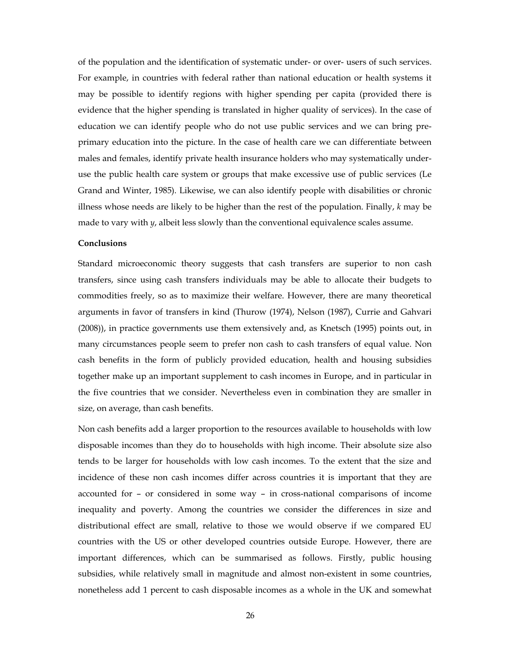of the population and the identification of systematic under- or over- users of such services. For example, in countries with federal rather than national education or health systems it may be possible to identify regions with higher spending per capita (provided there is evidence that the higher spending is translated in higher quality of services). In the case of education we can identify people who do not use public services and we can bring preprimary education into the picture. In the case of health care we can differentiate between males and females, identify private health insurance holders who may systematically underuse the public health care system or groups that make excessive use of public services (Le Grand and Winter, 1985). Likewise, we can also identify people with disabilities or chronic illness whose needs are likely to be higher than the rest of the population. Finally, *k* may be made to vary with *y*, albeit less slowly than the conventional equivalence scales assume.

#### **Conclusions**

Standard microeconomic theory suggests that cash transfers are superior to non cash transfers, since using cash transfers individuals may be able to allocate their budgets to commodities freely, so as to maximize their welfare. However, there are many theoretical arguments in favor of transfers in kind (Thurow (1974), Nelson (1987), Currie and Gahvari (2008)), in practice governments use them extensively and, as Knetsch (1995) points out, in many circumstances people seem to prefer non cash to cash transfers of equal value. Non cash benefits in the form of publicly provided education, health and housing subsidies together make up an important supplement to cash incomes in Europe, and in particular in the five countries that we consider. Nevertheless even in combination they are smaller in size, on average, than cash benefits.

Non cash benefits add a larger proportion to the resources available to households with low disposable incomes than they do to households with high income. Their absolute size also tends to be larger for households with low cash incomes. To the extent that the size and incidence of these non cash incomes differ across countries it is important that they are accounted for – or considered in some way – in cross-national comparisons of income inequality and poverty. Among the countries we consider the differences in size and distributional effect are small, relative to those we would observe if we compared EU countries with the US or other developed countries outside Europe. However, there are important differences, which can be summarised as follows. Firstly, public housing subsidies, while relatively small in magnitude and almost non-existent in some countries, nonetheless add 1 percent to cash disposable incomes as a whole in the UK and somewhat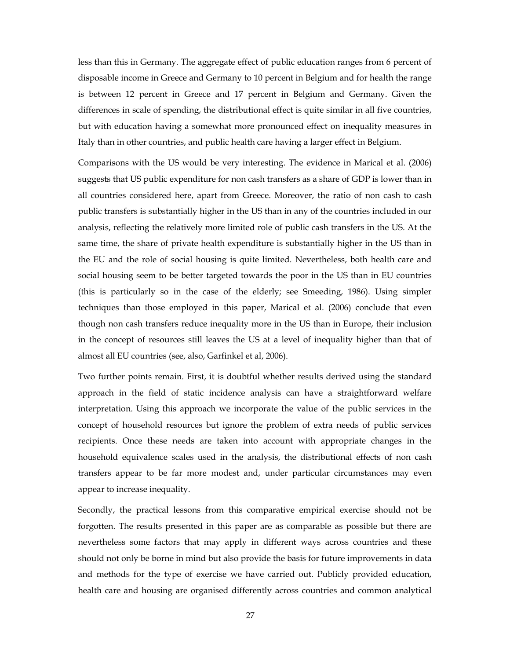less than this in Germany. The aggregate effect of public education ranges from 6 percent of disposable income in Greece and Germany to 10 percent in Belgium and for health the range is between 12 percent in Greece and 17 percent in Belgium and Germany. Given the differences in scale of spending, the distributional effect is quite similar in all five countries, but with education having a somewhat more pronounced effect on inequality measures in Italy than in other countries, and public health care having a larger effect in Belgium.

Comparisons with the US would be very interesting. The evidence in Marical et al. (2006) suggests that US public expenditure for non cash transfers as a share of GDP is lower than in all countries considered here, apart from Greece. Moreover, the ratio of non cash to cash public transfers is substantially higher in the US than in any of the countries included in our analysis, reflecting the relatively more limited role of public cash transfers in the US. At the same time, the share of private health expenditure is substantially higher in the US than in the EU and the role of social housing is quite limited. Nevertheless, both health care and social housing seem to be better targeted towards the poor in the US than in EU countries (this is particularly so in the case of the elderly; see Smeeding, 1986). Using simpler techniques than those employed in this paper, Marical et al. (2006) conclude that even though non cash transfers reduce inequality more in the US than in Europe, their inclusion in the concept of resources still leaves the US at a level of inequality higher than that of almost all EU countries (see, also, Garfinkel et al, 2006).

Two further points remain. First, it is doubtful whether results derived using the standard approach in the field of static incidence analysis can have a straightforward welfare interpretation. Using this approach we incorporate the value of the public services in the concept of household resources but ignore the problem of extra needs of public services recipients. Once these needs are taken into account with appropriate changes in the household equivalence scales used in the analysis, the distributional effects of non cash transfers appear to be far more modest and, under particular circumstances may even appear to increase inequality.

Secondly, the practical lessons from this comparative empirical exercise should not be forgotten. The results presented in this paper are as comparable as possible but there are nevertheless some factors that may apply in different ways across countries and these should not only be borne in mind but also provide the basis for future improvements in data and methods for the type of exercise we have carried out. Publicly provided education, health care and housing are organised differently across countries and common analytical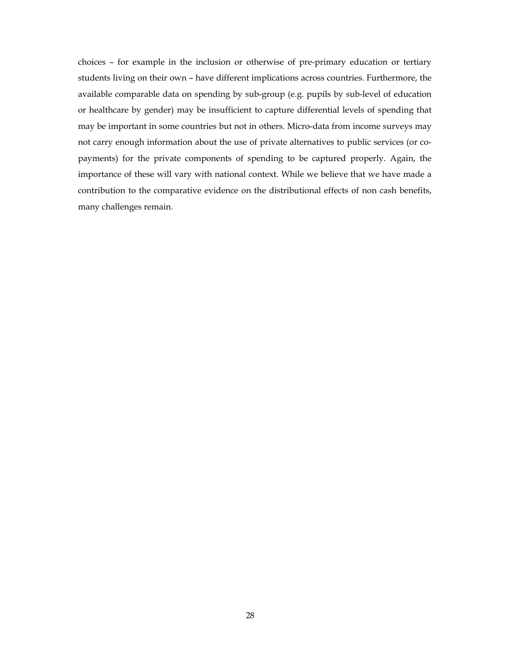choices – for example in the inclusion or otherwise of pre-primary education or tertiary students living on their own – have different implications across countries. Furthermore, the available comparable data on spending by sub-group (e.g. pupils by sub-level of education or healthcare by gender) may be insufficient to capture differential levels of spending that may be important in some countries but not in others. Micro-data from income surveys may not carry enough information about the use of private alternatives to public services (or copayments) for the private components of spending to be captured properly. Again, the importance of these will vary with national context. While we believe that we have made a contribution to the comparative evidence on the distributional effects of non cash benefits, many challenges remain.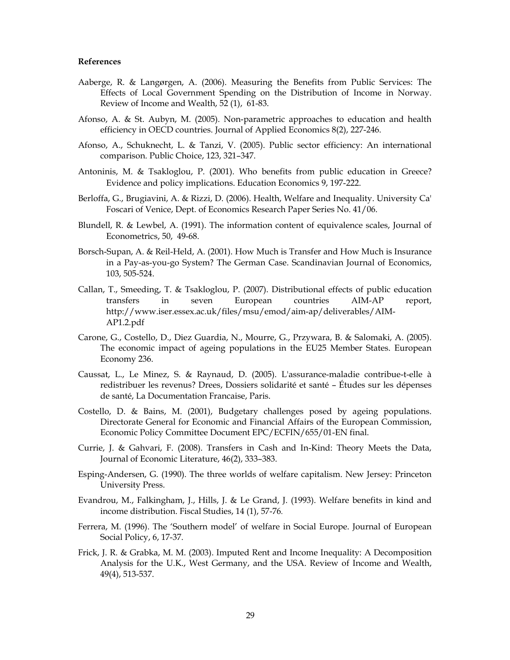#### **References**

- Aaberge, R. & Langørgen, A. (2006). Measuring the Benefits from Public Services: The Effects of Local Government Spending on the Distribution of Income in Norway. Review of Income and Wealth, 52 (1), 61-83.
- Afonso, A. & St. Aubyn, M. (2005). Non-parametric approaches to education and health efficiency in OECD countries. Journal of Applied Economics 8(2), 227-246.
- Afonso, A., Schuknecht, L. & Tanzi, V. (2005). Public sector efficiency: An international comparison. Public Choice, 123, 321–347.
- Antoninis, M. & Tsakloglou, P. (2001). Who benefits from public education in Greece? Evidence and policy implications. Education Economics 9, 197-222.
- Berloffa, G., Brugiavini, A. & Rizzi, D. (2006). Health, Welfare and Inequality. University Ca' Foscari of Venice, Dept. of Economics Research Paper Series No. 41/06.
- Blundell, R. & Lewbel, A. (1991). The information content of equivalence scales, Journal of Econometrics, 50, 49-68.
- Borsch-Supan, A. & Reil-Held, A. (2001). How Much is Transfer and How Much is Insurance in a Pay-as-you-go System? The German Case. Scandinavian Journal of Economics, 103, 505-524.
- Callan, T., Smeeding, T. & Tsakloglou, P. (2007). Distributional effects of public education transfers in seven European countries AIM-AP report, http://www.iser.essex.ac.uk/files/msu/emod/aim-ap/deliverables/AIM-AP1.2.pdf
- Carone, G., Costello, D., Diez Guardia, N., Mourre, G., Przywara, B. & Salomaki, A. (2005). The economic impact of ageing populations in the EU25 Member States. European Economy 236.
- Caussat, L., Le Minez, S. & Raynaud, D. (2005). L'assurance-maladie contribue-t-elle à redistribuer les revenus? Drees, Dossiers solidarité et santé – Études sur les dépenses de santé, La Documentation Francaise, Paris.
- Costello, D. & Bains, M. (2001), Budgetary challenges posed by ageing populations. Directorate General for Economic and Financial Affairs of the European Commission, Economic Policy Committee Document EPC/ECFIN/655/01-EN final.
- Currie, J. & Gahvari, F. (2008). Transfers in Cash and In-Kind: Theory Meets the Data, Journal of Economic Literature, 46(2), 333–383.
- Esping-Andersen, G. (1990). The three worlds of welfare capitalism. New Jersey: Princeton University Press.
- Evandrou, M., Falkingham, J., Hills, J. & Le Grand, J. (1993). Welfare benefits in kind and income distribution. Fiscal Studies, 14 (1), 57-76.
- Ferrera, M. (1996). The 'Southern model' of welfare in Social Europe. Journal of European Social Policy, 6, 17-37.
- Frick, J. R. & Grabka, M. M. (2003). Imputed Rent and Income Inequality: A Decomposition Analysis for the U.K., West Germany, and the USA. Review of Income and Wealth, 49(4), 513-537.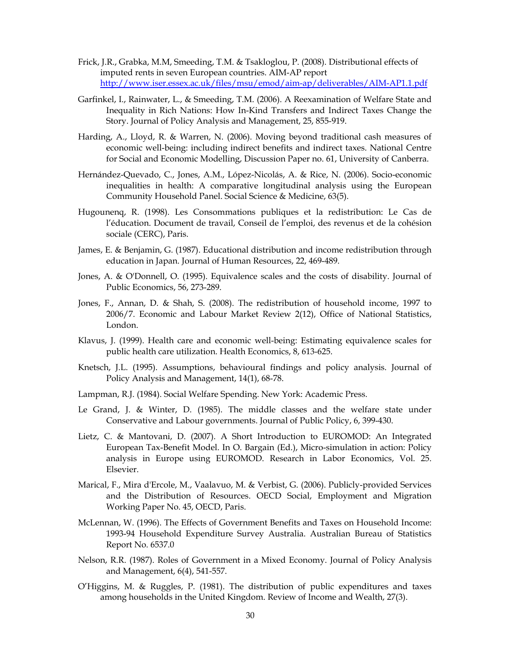- Frick, J.R., Grabka, M.M, Smeeding, T.M. & Tsakloglou, P. (2008). Distributional effects of imputed rents in seven European countries. AIM-AP report http://www.iser.essex.ac.uk/files/msu/emod/aim-ap/deliverables/AIM-AP1.1.pdf
- Garfinkel, I., Rainwater, L., & Smeeding, T.M. (2006). A Reexamination of Welfare State and Inequality in Rich Nations: How In-Kind Transfers and Indirect Taxes Change the Story. Journal of Policy Analysis and Management, 25, 855-919.
- Harding, A., Lloyd, R. & Warren, N. (2006). Moving beyond traditional cash measures of economic well-being: including indirect benefits and indirect taxes. National Centre for Social and Economic Modelling, Discussion Paper no. 61, University of Canberra.
- Hernández-Quevado, C., Jones, A.M., López-Nicolás, A. & Rice, N. (2006). Socio-economic inequalities in health: A comparative longitudinal analysis using the European Community Household Panel. Social Science & Medicine, 63(5).
- Hugounenq, R. (1998). Les Consommations publiques et la redistribution: Le Cas de l'éducation. Document de travail, Conseil de l'emploi, des revenus et de la cohésion sociale (CERC), Paris.
- James, E. & Benjamin, G. (1987). Educational distribution and income redistribution through education in Japan. Journal of Human Resources, 22, 469-489.
- Jones, A. & O'Donnell, O. (1995). Equivalence scales and the costs of disability. Journal of Public Economics, 56, 273-289.
- Jones, F., Annan, D. & Shah, S. (2008). The redistribution of household income, 1997 to 2006/7. Economic and Labour Market Review 2(12), Office of National Statistics, London.
- Klavus, J. (1999). Health care and economic well-being: Estimating equivalence scales for public health care utilization. Health Economics, 8, 613-625.
- Knetsch, J.L. (1995). Assumptions, behavioural findings and policy analysis. Journal of Policy Analysis and Management, 14(1), 68-78.
- Lampman, R.J. (1984). Social Welfare Spending. New York: Academic Press.
- Le Grand, J. & Winter, D. (1985). The middle classes and the welfare state under Conservative and Labour governments. Journal of Public Policy, 6, 399-430.
- Lietz, C. & Mantovani, D. (2007). A Short Introduction to EUROMOD: An Integrated European Tax-Benefit Model. In O. Bargain (Ed.), Micro-simulation in action: Policy analysis in Europe using EUROMOD. Research in Labor Economics, Vol. 25. Elsevier.
- Marical, F., Mira d'Ercole, M., Vaalavuo, M. & Verbist, G. (2006). Publicly-provided Services and the Distribution of Resources. OECD Social, Employment and Migration Working Paper No. 45, OECD, Paris.
- McLennan, W. (1996). The Effects of Government Benefits and Taxes on Household Income: 1993-94 Household Expenditure Survey Australia. Australian Bureau of Statistics Report No. 6537.0
- Nelson, R.R. (1987). Roles of Government in a Mixed Economy. Journal of Policy Analysis and Management, 6(4), 541-557.
- O'Higgins, M. & Ruggles, P. (1981). The distribution of public expenditures and taxes among households in the United Kingdom. Review of Income and Wealth, 27(3).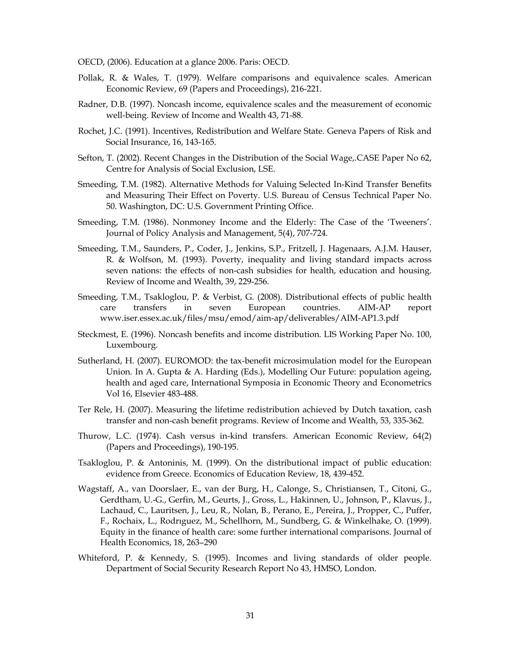- OECD, (2006). Education at a glance 2006. Paris: OECD.
- Pollak, R. & Wales, T. (1979). Welfare comparisons and equivalence scales. American Economic Review, 69 (Papers and Proceedings), 216-221.
- Radner, D.B. (1997). Noncash income, equivalence scales and the measurement of economic well-being. Review of Income and Wealth 43, 71-88.
- Rochet, J.C. (1991). Incentives, Redistribution and Welfare State. Geneva Papers of Risk and Social Insurance, 16, 143-165.
- Sefton, T. (2002). Recent Changes in the Distribution of the Social Wage,.CASE Paper No 62, Centre for Analysis of Social Exclusion, LSE.
- Smeeding, T.M. (1982). Alternative Methods for Valuing Selected In-Kind Transfer Benefits and Measuring Their Effect on Poverty. U.S. Bureau of Census Technical Paper No. 50. Washington, DC: U.S. Government Printing Office.
- Smeeding, T.M. (1986). Nonmoney Income and the Elderly: The Case of the 'Tweeners'. Journal of Policy Analysis and Management, 5(4), 707-724.
- Smeeding, T.M., Saunders, P., Coder, J., Jenkins, S.P., Fritzell, J. Hagenaars, A.J.M. Hauser, R. & Wolfson, M. (1993). Poverty, inequality and living standard impacts across seven nations: the effects of non-cash subsidies for health, education and housing. Review of Income and Wealth, 39, 229-256.
- Smeeding, T.M., Tsakloglou, P. & Verbist, G. (2008). Distributional effects of public health care transfers in seven European countries. AIM-AP report www.iser.essex.ac.uk/files/msu/emod/aim-ap/deliverables/AIM-AP1.3.pdf
- Steckmest, E. (1996). Noncash benefits and income distribution. LIS Working Paper No. 100, Luxembourg.
- Sutherland, H. (2007). EUROMOD: the tax-benefit microsimulation model for the European Union. In A. Gupta & A. Harding (Eds.), Modelling Our Future: population ageing, health and aged care, International Symposia in Economic Theory and Econometrics Vol 16, Elsevier 483-488.
- Ter Rele, H. (2007). Measuring the lifetime redistribution achieved by Dutch taxation, cash transfer and non-cash benefit programs. Review of Income and Wealth, 53, 335-362.
- Thurow, L.C. (1974). Cash versus in-kind transfers. American Economic Review, 64(2) (Papers and Proceedings), 190-195.
- Tsakloglou, P. & Antoninis, M. (1999). On the distributional impact of public education: evidence from Greece. Economics of Education Review, 18, 439-452.
- Wagstaff, A., van Doorslaer, E., van der Burg, H., Calonge, S., Christiansen, T., Citoni, G., Gerdtham, U.-G., Gerfin, M., Geurts, J., Gross, L., Hakinnen, U., Johnson, P., Klavus, J., Lachaud, C., Lauritsen, J., Leu, R., Nolan, B., Perano, E., Pereira, J., Propper, C., Puffer, F., Rochaix, L., Rodrıguez, M., Schellhorn, M., Sundberg, G. & Winkelhake, O. (1999). Equity in the finance of health care: some further international comparisons. Journal of Health Economics, 18, 263–290
- Whiteford, P. & Kennedy, S. (1995). Incomes and living standards of older people. Department of Social Security Research Report No 43, HMSO, London.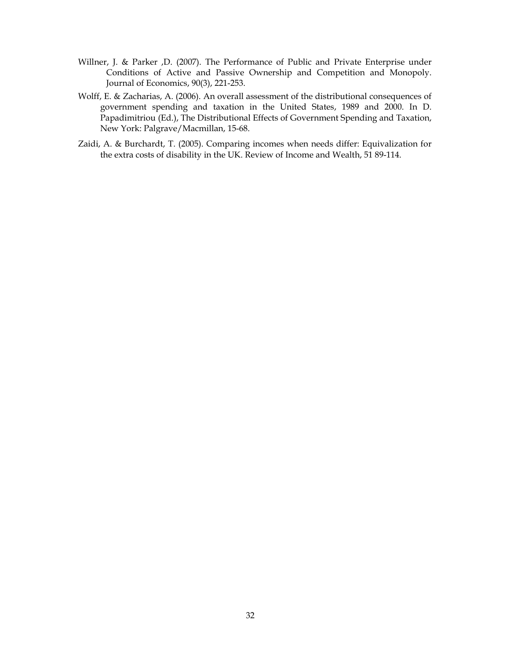- Willner, J. & Parker ,D. (2007). The Performance of Public and Private Enterprise under Conditions of Active and Passive Ownership and Competition and Monopoly. Journal of Economics, 90(3), 221-253.
- Wolff, E. & Zacharias, A. (2006). An overall assessment of the distributional consequences of government spending and taxation in the United States, 1989 and 2000. In D. Papadimitriou (Ed.), The Distributional Effects of Government Spending and Taxation, New York: Palgrave/Macmillan, 15-68.
- Zaidi, A. & Burchardt, T. (2005). Comparing incomes when needs differ: Equivalization for the extra costs of disability in the UK. Review of Income and Wealth, 51 89-114.